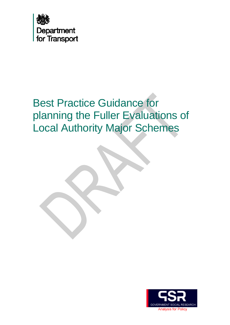

# Best Practice Guidance for planning the Fuller Evaluations of Local Authority Major Schemes

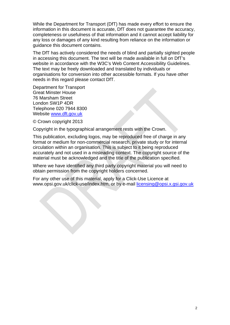While the Department for Transport (DfT) has made every effort to ensure the information in this document is accurate, DfT does not guarantee the accuracy, completeness or usefulness of that information and it cannot accept liability for any loss or damages of any kind resulting from reliance on the information or guidance this document contains.

The DfT has actively considered the needs of blind and partially sighted people in accessing this document. The text will be made available in full on DfT's website in accordance with the W3C's Web Content Accessibility Guidelines. The text may be freely downloaded and translated by individuals or organisations for conversion into other accessible formats. If you have other needs in this regard please contact DfT.

Department for Transport Great Minster House 76 Marsham Street London SW1P 4DR Telephone 020 7944 8300 Website [www.dft.gov.uk](http://www.dft.gov.uk/)

© Crown copyright 2013

Copyright in the typographical arrangement rests with the Crown.

This publication, excluding logos, may be reproduced free of charge in any format or medium for non-commercial research, private study or for internal circulation within an organisation. This is subject to it being reproduced accurately and not used in a misleading context. The copyright source of the material must be acknowledged and the title of the publication specified.

Where we have identified any third party copyright material you will need to obtain permission from the copyright holders concerned.

For any other use of this material, apply for a Click-Use Licence at www.opsi.gov.uk/click-use/index.htm, or by e-mail [licensing@opsi.x.gsi.gov.uk](mailto:licensing@opsi.x.gsi.gov.uk)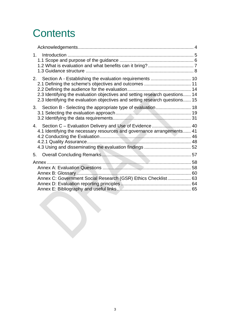# **Contents**

| 2.3 Identifying the evaluation objectives and setting research questions 14<br>2.3 Identifying the evaluation objectives and setting research questions 15 |
|------------------------------------------------------------------------------------------------------------------------------------------------------------|
|                                                                                                                                                            |
| Section C - Evaluation Delivery and Use of Evidence  40<br>4.1 Identifying the necessary resources and governance arrangements 41                          |
|                                                                                                                                                            |
| Annex C: Government Social Research (GSR) Ethics Checklist 63                                                                                              |
|                                                                                                                                                            |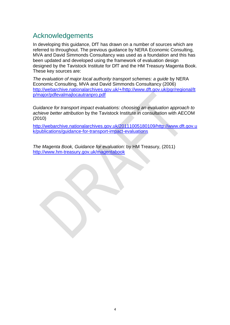## <span id="page-3-0"></span>Acknowledgements

In developing this guidance, DfT has drawn on a number of sources which are referred to throughout. The previous guidance by NERA Economic Consulting, MVA and David Simmonds Consultancy was used as a foundation and this has been updated and developed using the framework of evaluation design designed by the Tavistock Institute for DfT and the HM Treasury Magenta Book. These key sources are:

*The evaluation of major local authority transport schemes: a guide* by NERA Economic Consulting, MVA and David Simmonds Consultancy (2006) [http://webarchive.nationalarchives.gov.uk/+/http://www.dft.gov.uk/pgr/regional/lt](http://webarchive.nationalarchives.gov.uk/+/http://www.dft.gov.uk/pgr/regional/ltp/major/pdfevalmajlocautranpro.pdf) [p/major/pdfevalmajlocautranpro.pdf](http://webarchive.nationalarchives.gov.uk/+/http://www.dft.gov.uk/pgr/regional/ltp/major/pdfevalmajlocautranpro.pdf)

*Guidance for transport impact evaluations: choosing an evaluation approach to achieve better attribution* by the Tavistock Institute in consultation with AECOM (2010)

[http://webarchive.nationalarchives.gov.uk/20111005180109/http://www.dft.gov.u](http://webarchive.nationalarchives.gov.uk/20111005180109/http://www.dft.gov.uk/publications/guidance-for-transport-impact-evaluations) [k/publications/guidance-for-transport-impact-evaluations](http://webarchive.nationalarchives.gov.uk/20111005180109/http://www.dft.gov.uk/publications/guidance-for-transport-impact-evaluations)

*The Magenta Book, Guidance for evaluation:* by HM Treasury, (2011) <http://www.hm-treasury.gov.uk/magentabook>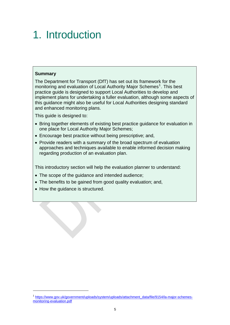# <span id="page-4-0"></span>1. Introduction

#### **Summary**

The Department for Transport (DfT) has set out its framework for the monitoring and evaluation of Local Authority Major Schemes<sup>[1](#page-4-1)</sup>. This best practice guide is designed to support Local Authorities to develop and implement plans for undertaking a fuller evaluation, although some aspects of this guidance might also be useful for Local Authorities designing standard and enhanced monitoring plans.

This guide is designed to:

- Bring together elements of existing best practice guidance for evaluation in one place for Local Authority Major Schemes;
- Encourage best practice without being prescriptive; and,
- Provide readers with a summary of the broad spectrum of evaluation approaches and techniques available to enable informed decision making regarding production of an evaluation plan.

This introductory section will help the evaluation planner to understand:

- The scope of the quidance and intended audience;
- The benefits to be gained from good quality evaluation; and,
- How the guidance is structured.

<span id="page-4-1"></span><sup>1</sup> [https://www.gov.uk/government/uploads/system/uploads/attachment\\_data/file/9154/la-major-schemes](https://www.gov.uk/government/uploads/system/uploads/attachment_data/file/9154/la-major-schemes-monitoring-evaluation.pdf)[monitoring-evaluation.pdf](https://www.gov.uk/government/uploads/system/uploads/attachment_data/file/9154/la-major-schemes-monitoring-evaluation.pdf)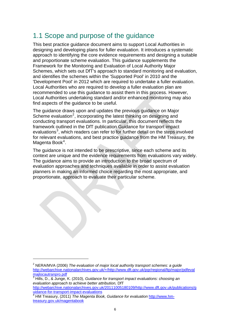## <span id="page-5-0"></span>1.1 Scope and purpose of the guidance

This best practice guidance document aims to support Local Authorities in designing and developing plans for fuller evaluation. It introduces a systematic approach to identifying the core evidence requirements and designing a suitable and proportionate scheme evaluation. This guidance supplements the Framework for the Monitoring and Evaluation of Local Authority Major Schemes, which sets out DfT's approach to standard monitoring and evaluation, and identifies the schemes within the 'Supported Pool' in 2010 and the 'Development Pool' in 2012 which are required to undertake a fuller evaluation. Local Authorities who are required to develop a fuller evaluation plan are recommended to use this guidance to assist them in this process. However, Local Authorities undertaking standard and/or enhanced monitoring may also find aspects of the guidance to be useful.

The guidance draws upon and updates the previous guidance on Major Scheme evaluation<sup>[2](#page-5-1)</sup>, incorporating the latest thinking on designing and conducting transport evaluations. In particular, this document reflects the framework outlined in the DfT publication Guidance for transport impact evaluations<sup>[3](#page-5-2)</sup>, which readers can refer to for further detail on the steps involved for relevant evaluations, and best practice guidance from the HM Treasury, the Magenta Book<sup>[4](#page-5-3)</sup>.

The guidance is not intended to be prescriptive, since each scheme and its context are unique and the evidence requirements from evaluations vary widely. The guidance aims to provide an introduction to the broad spectrum of evaluation approaches and techniques available in order to assist evaluation planners in making an informed choice regarding the most appropriate, and proportionate, approach to evaluate their particular scheme.

<span id="page-5-1"></span><sup>2</sup> NERA/MVA (2006) *The evaluation of major local authority transport schemes: a guide* [http://webarchive.nationalarchives.gov.uk/+/http://www.dft.gov.uk/pgr/regional/ltp/major/pdfeval](http://webarchive.nationalarchives.gov.uk/+/http://www.dft.gov.uk/pgr/regional/ltp/major/pdfevalmajlocautranpro.pdf) [majlocautranpro.pdf](http://webarchive.nationalarchives.gov.uk/+/http://www.dft.gov.uk/pgr/regional/ltp/major/pdfevalmajlocautranpro.pdf)

<span id="page-5-2"></span><sup>3</sup> Hills, D., & Junge, K. (2010), *Guidance for transport impact evaluations: choosing an evaluation approach to achieve better attribution,* DfT [http://webarchive.nationalarchives.gov.uk/20111005180109/http://www.dft.gov.uk/publications/g](http://webarchive.nationalarchives.gov.uk/20111005180109/http:/www.dft.gov.uk/publications/guidance-for-transport-impact-evaluations) [uidance-for-transport-impact-evaluations](http://webarchive.nationalarchives.gov.uk/20111005180109/http:/www.dft.gov.uk/publications/guidance-for-transport-impact-evaluations)

<span id="page-5-3"></span>HM Treasury, (2011) *The Magenta Book, Guidance for evaluation* [http://www.hm](http://www.hm-treasury.gov.uk/magentabook)[treasury.gov.uk/magentabook](http://www.hm-treasury.gov.uk/magentabook)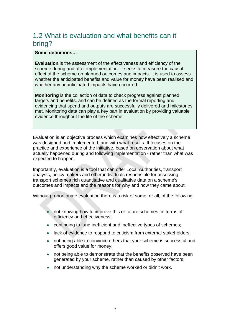## <span id="page-6-0"></span>1.2 What is evaluation and what benefits can it bring?

#### **Some definitions…**

**Evaluation** is the assessment of the effectiveness and efficiency of the scheme during and after implementation. It seeks to measure the causal effect of the scheme on planned outcomes and impacts. It is used to assess whether the anticipated benefits and value for money have been realised and whether any unanticipated impacts have occurred.

**Monitoring** is the collection of data to check progress against planned targets and benefits, and can be defined as the formal reporting and evidencing that spend and outputs are successfully delivered and milestones met. Monitoring data can play a key part in evaluation by providing valuable evidence throughout the life of the scheme.

Evaluation is an objective process which examines how effectively a scheme was designed and implemented, and with what results. It focuses on the practice and experience of the initiative, based on observation about what actually happened during and following implementation - rather than what was expected to happen.

Importantly, evaluation is a tool that can offer Local Authorities, transport analysts, policy makers and other individuals responsible for assessing transport schemes rich quantitative and qualitative data on a scheme's outcomes and impacts and the reasons for why and how they came about.

Without proportionate evaluation there is a risk of some, or all, of the following:

- not knowing how to improve this or future schemes, in terms of efficiency and effectiveness;
- continuing to fund inefficient and ineffective types of schemes;
- lack of evidence to respond to criticism from external stakeholders;
- not being able to convince others that your scheme is successful and offers good value for money;
- not being able to demonstrate that the benefits observed have been generated by your scheme, rather than caused by other factors;
- not understanding why the scheme worked or didn't work.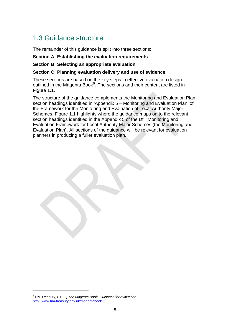## <span id="page-7-0"></span>1.3 Guidance structure

The remainder of this guidance is split into three sections:

#### **Section A: Establishing the evaluation requirements**

#### **Section B: Selecting an appropriate evaluation**

#### **Section C: Planning evaluation delivery and use of evidence**

These sections are based on the key steps in effective evaluation design outlined in the Magenta Book<sup>[5](#page-7-1)</sup>. The sections and their content are listed in Figure 1.1.

The structure of the guidance complements the Monitoring and Evaluation Plan section headings identified in 'Appendix 5 – Monitoring and Evaluation Plan' of the Framework for the Monitoring and Evaluation of Local Authority Major Schemes. Figure 1.1 highlights where the guidance maps on to the relevant section headings identified in the Appendix 5 of the DfT Monitoring and Evaluation Framework for Local Authority Major Schemes (the Monitoring and Evaluation Plan). All sections of the guidance will be relevant for evaluation planners in producing a fuller evaluation plan.

<span id="page-7-1"></span><sup>5</sup> HM Treasury, (2011) *The Magenta Book, Guidance for evaluation* <http://www.hm-treasury.gov.uk/magentabook>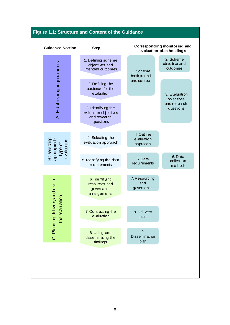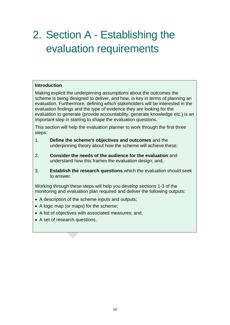# <span id="page-9-0"></span>2. Section A - Establishing the evaluation requirements

#### **Introduction**

Making explicit the underpinning assumptions about the outcomes the scheme is being designed to deliver, and how, is key in terms of planning an evaluation. Furthermore, defining which stakeholders will be interested in the evaluation findings and the type of evidence they are looking for the evaluation to generate (provide accountability, generate knowledge etc.) is an important step in starting to shape the evaluation questions.

This section will help the evaluation planner to work through the first three steps:

- 1. **Define the scheme's objectives and outcomes** and the underpinning theory about how the scheme will achieve these;
- 2. **Consider the needs of the audience for the evaluation** and understand how this frames the evaluation design; and,
- 3. **Establish the research questions** which the evaluation should seek to answer.

Working through these steps will help you develop sections 1-3 of the monitoring and evaluation plan required and deliver the following outputs:

- A description of the scheme inputs and outputs;
- A logic map (or maps) for the scheme;
- A list of objectives with associated measures; and,
- A set of research questions.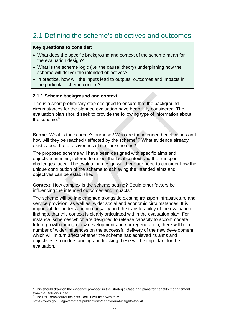# <span id="page-10-0"></span>2.1 Defining the scheme's objectives and outcomes

#### **Key questions to consider:**

- What does the specific background and context of the scheme mean for the evaluation design?
- What is the scheme logic (i.e. the causal theory) underpinning how the scheme will deliver the intended objectives?
- In practice, how will the inputs lead to outputs, outcomes and impacts in the particular scheme context?

#### **2.1.1 Scheme background and context**

This is a short preliminary step designed to ensure that the background circumstances for the planned evaluation have been fully considered. The evaluation plan should seek to provide the following type of information about the scheme: $6$ 

**Scope**: What is the scheme's purpose? Who are the intended beneficiaries and how will they be reached / effected by the scheme<sup>[7](#page-10-2)</sup>? What evidence already exists about the effectiveness of similar schemes?

The proposed scheme will have been designed with specific aims and objectives in mind, tailored to reflect the local context and the transport challenges faced. The evaluation design will therefore need to consider how the unique contribution of the scheme to achieving the intended aims and objectives can be established.

**Context**: How complex is the scheme setting? Could other factors be influencing the intended outcomes and impacts?

The scheme will be implemented alongside existing transport infrastructure and service provision, as well as, wider social and economic circumstances. It is important, for understanding causality and the transferability of the evaluation findings, that this context is clearly articulated within the evaluation plan. For instance, schemes which are designed to release capacity to accommodate future growth through new development and / or regeneration, there will be a number of wider influences on the successful delivery of the new development which will in turn affect whether the scheme has achieved its aims and objectives, so understanding and tracking these will be important for the evaluation.

<span id="page-10-1"></span> $6$  This should draw on the evidence provided in the Strategic Case and plans for benefits management from the Delivery Case.<br><sup>7</sup> The DfT Rehavioural In

<span id="page-10-2"></span>The DfT Behavioural Insights Toolkit will help with this:

https://www.gov.uk/government/publications/behavioural-insights-toolkit.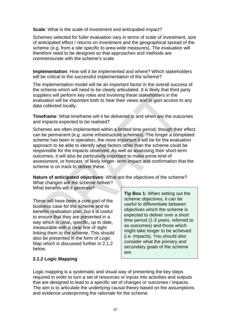**Scale**: What is the scale of investment and anticipated impact?

Schemes selected for fuller evaluation vary in terms of scale of investment, size of anticipated effect / returns on investment and the geographical spread of the scheme (e.g. from a site specific to area-wide measures). The evaluation will therefore need to be designed so that approaches and methods are commensurate with the scheme's scale.

**Implementation**: How will it be implemented and where? Which stakeholders will be critical to the successful implementation of the scheme?

The implementation model will be an important factor in the overall success of the scheme which will need to be clearly articulated. It is likely that third party suppliers will perform key roles and involving these stakeholders in the evaluation will be important both to hear their views and to gain access to any data collected locally.

**Timeframe**: What timeframe will it be delivered in and when are the outcomes and impacts expected to be realised?

Schemes are often implemented within a limited time period, though their effect can be permanent (e.g. some infrastructure schemes). The longer a completed scheme has been in operation, the more important it will be for the evaluation approach to be able to identify what factors other than the scheme could be responsible for the impacts observed. As well as assessing their short-term outcomes, it will also be particularly important to make some kind of assessment, or forecast, of likely longer- term impact and confirmation that the scheme is on track to deliver these.

**Nature of anticipated objectives**: What are the objectives of the scheme?

What changes will the scheme deliver? What benefits will it generate?

These will have been a core part of the business case for the scheme and its benefits realisation plan, but it is useful to ensure that they are presented in a way which is clear**,** specific**,** up to date, measurable with a clear line of sight linking them to the scheme. This should also be presented in the form of Logic Map which is discussed further in 2.1.2 below.

**Tip Box 1:** When setting out the scheme objectives, it can be useful to differentiate between objectives which the scheme is expected to deliver over a short time period (1-3 years, referred to as outcomes) and those which might take longer to be achieved (i.e. impacts). You should also consider what the primary and secondary goals of the scheme are.

#### **2.1.2 Logic Mapping**

Logic mapping is a systematic and visual way of presenting the key steps required in order to turn a set of resources or inputs into activities and outputs that are designed to lead to a specific set of changes or outcomes / impacts. The aim is to articulate the underlying causal theory based on the assumptions and evidence underpinning the rationale for the scheme.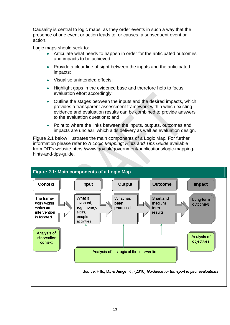Causality is central to logic maps, as they order events in such a way that the presence of one event or action leads to, or causes, a subsequent event or action.

Logic maps should seek to:

- Articulate what needs to happen in order for the anticipated outcomes and impacts to be achieved;
- Provide a clear line of sight between the inputs and the anticipated impacts;
- Visualise unintended effects:
- Highlight gaps in the evidence base and therefore help to focus evaluation effort accordingly;
- Outline the stages between the inputs and the desired impacts, which provides a transparent assessment framework within which existing evidence and evaluation results can be combined to provide answers to the evaluation questions; and
- Point to where the links between the inputs, outputs, outcomes and impacts are unclear, which aids delivery as well as evaluation design.

Figure 2.1 below illustrates the main components of a Logic Map*.* For further information please refer to *[A Logic Mapping: Hints and Tips Guide](http://www.dft.gov.uk/publications/logic-mapping-advice-guide/)* available from DfT's website https://www.gov.uk/government/publications/logic-mappinghints-and-tips-guide.

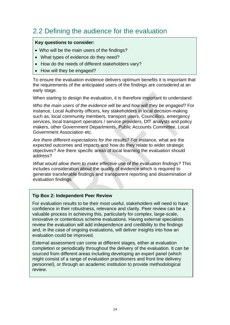## <span id="page-13-0"></span>2.2 Defining the audience for the evaluation

#### **Key questions to consider:**

- Who will be the main users of the findings?
- What types of evidence do they need?
- How do the needs of different stakeholders vary?
- How will they be engaged?

To ensure the evaluation evidence delivers optimum benefits it is important that the requirements of the anticipated users of the findings are considered at an early stage.

When starting to design the evaluation, it is therefore important to understand:

*Who the main users of the evidence will be and how will they be engaged?* For instance, Local Authority officers, key stakeholders in local decision-making such as, local community members, transport users, Councillors, emergency services, local transport operators / service providers, DfT analysts and policy makers, other Government Departments, Public Accounts Committee, Local Government Association etc.

*Are there different expectations for the results?* For instance, what are the expected outcomes and impacts and how do they relate to wider strategic objectives? Are there specific areas of local learning the evaluation should address?

*What would allow them to make effective use of the evaluation findings?* This includes consideration about the quality of evidence which is required to generate transferable findings and transparent reporting and dissemination of evaluation findings.

#### **Tip Box 2: Independent Peer Review**

For evaluation results to be their most useful, stakeholders will need to have confidence in their robustness, relevance and clarity. Peer review can be a valuable process in achieving this, particularly for complex, large-scale, innovative or contentious scheme evaluations. Having external specialists review the evaluation will add independence and credibility to the findings and, in the case of ongoing evaluations, will deliver insights into how an evaluation could be improved.

External assessment can come at different stages, either at evaluation completion or periodically throughout the delivery of the evaluation. It can be sourced from different areas including developing an expert panel (which might consist of a range of evaluation practitioners and front line delivery personnel), or through an academic institution to provide methodological review.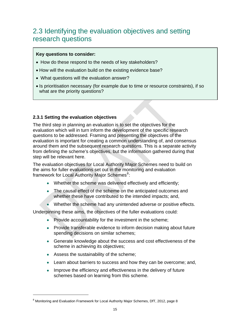## <span id="page-14-1"></span>2.3 Identifying the evaluation objectives and setting research questions

#### **Key questions to consider:**

- How do these respond to the needs of key stakeholders?
- How will the evaluation build on the existing evidence base?
- What questions will the evaluation answer?
- Is prioritisation necessary (for example due to time or resource constraints), if so what are the priority questions?

#### **2.3.1 Setting the evaluation objectives**

The third step in planning an evaluation is to set the objectives for the evaluation which will in turn inform the development of the specific research questions to be addressed. Framing and presenting the objectives of the evaluation is important for creating a common understanding of, and consensus around them and the subsequent research questions. This is a separate activity from defining the scheme's objectives, but the information gathered during that step will be relevant here.

The evaluation objectives for Local Authority Major Schemes need to build on the aims for fuller evaluations set out in the monitoring and evaluation framework for Local Authority Major Schemes<sup>[8](#page-14-2)</sup>:

- Whether the scheme was delivered effectively and efficiently;
- The causal effect of the scheme on the anticipated outcomes and whether these have contributed to the intended impacts; and,
- Whether the scheme had any unintended adverse or positive effects.

<span id="page-14-0"></span>Underpinning these aims, the objectives of the fuller evaluations could:

- Provide accountability for the investment in the scheme:
- Provide transferable evidence to inform decision making about future spending decisions on similar schemes;
- Generate knowledge about the success and cost effectiveness of the scheme in achieving its objectives;
- Assess the sustainability of the scheme;

- Learn about barriers to success and how they can be overcome; and,
- Improve the efficiency and effectiveness in the delivery of future schemes based on learning from this scheme.

<span id="page-14-2"></span><sup>&</sup>lt;sup>8</sup> Monitoring and Evaluation Framework for Local Authority Major Schemes, DfT, 2012, page 8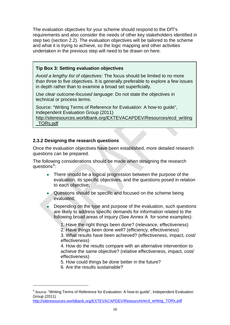The evaluation objectives for your scheme should respond to the DfT's requirements and also consider the needs of other key stakeholders identified in step two (section 2.2). The evaluation objectives will be tailored to the scheme and what it is trying to achieve, so the logic mapping and other activities undertaken in the previous step will need to be drawn on here.

#### **Tip Box 3: Setting evaluation objectives**

*Avoid a lengthy list of objectives:* The focus should be limited to no more than three to five objectives. It is generally preferable to explore a few issues in depth rather than to examine a broad set superficially.

*Use clear outcome-focused language*: Do not state the objectives in technical or process terms.

Source: "Writing Terms of Reference for Evaluation: A how-to guide", Independent Evaluation Group (2011)

http://siteresources.worldbank.org/EXTEVACAPDEV/Resources/ecd\_writing \_TORs.pdf

#### **2.3.2 Designing the research questions**

Once the evaluation objectives have been established, more detailed research questions can be prepared.

The following considerations should be made when designing the research questions<sup>[9](#page-15-0)</sup>:

- There should be a logical progression between the purpose of the evaluation, its specific objectives, and the questions posed in relation to each objective;
- Questions should be specific and focused on the scheme being evaluated;
- Depending on the type and purpose of the evaluation, such questions are likely to address specific demands for information related to the following broad areas of inquiry (See Annex A for some examples):
	- 1. Have the right things been done? (relevance, effectiveness)

2. Have things been done well? (efficiency, effectiveness)

3. What results have been achieved? (effectiveness, impact, cost/ effectiveness)

4. How do the results compare with an alternative intervention to achieve the same objective? (relative effectiveness, impact, cost/ effectiveness)

- 5. How could things be done better in the future?
- 6. Are the results sustainable?

<span id="page-15-0"></span><sup>&</sup>lt;sup>9</sup> Source: "Writing Terms of Reference for Evaluation: A how-to guide", Independent Evaluation Group (2011)

[http://siteresources.worldbank.org/EXTEVACAPDEV/Resources/ecd\\_writing\\_TORs.pdf](http://siteresources.worldbank.org/EXTEVACAPDEV/Resources/ecd_writing_TORs.pdf)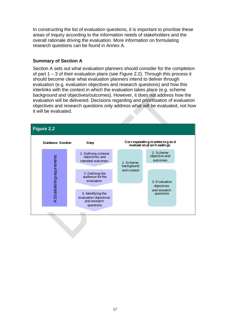In constructing the list of evaluation questions, it is important to prioritise these areas of inquiry according to the information needs of stakeholders and the overall rationale driving the evaluation. More information on formulating research questions can be found in Annex A.

#### **Summary of Section A**

Section A sets out what evaluation planners should consider for the completion of part 1 – 3 of their evaluation plans (see Figure 2.2). Through this process it should become clear what evaluation planners intend to deliver through evaluation (e.g. evaluation objectives and research questions) and how this interlinks with the context in which the evaluation takes place (e.g. scheme background and objectives/outcomes). However, it does not address how the evaluation will be delivered. Decisions regarding and prioritisation of evaluation objectives and research questions only address what will be evaluated, not how it will be evaluated.

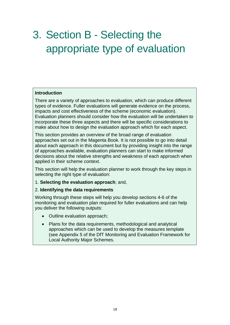# <span id="page-17-0"></span>3. Section B - Selecting the appropriate type of evaluation

#### **Introduction**

There are a variety of approaches to evaluation, which can produce different types of evidence. Fuller evaluations will generate evidence on the process, impacts and cost effectiveness of the scheme (economic evaluation). Evaluation planners should consider how the evaluation will be undertaken to incorporate these three aspects and there will be specific considerations to make about how to design the evaluation approach which for each aspect.

This section provides an overview of the broad range of evaluation approaches set out in the Magenta Book. It is not possible to go into detail about each approach in this document but by providing insight into the range of approaches available, evaluation planners can start to make informed decisions about the relative strengths and weakness of each approach when applied in their scheme context.

This section will help the evaluation planner to work through the key steps in selecting the right type of evaluation:

1. **Selecting the evaluation approach**; and,

#### 2. **Identifying the data requirements**

Working through these steps will help you develop sections 4-6 of the monitoring and evaluation plan required for fuller evaluations and can help you deliver the following outputs:

- Outline evaluation approach;
- Plans for the data requirements, methodological and analytical approaches which can be used to develop the measures template (see Appendix 5 of the DfT Monitoring and Evaluation Framework for Local Authority Major Schemes.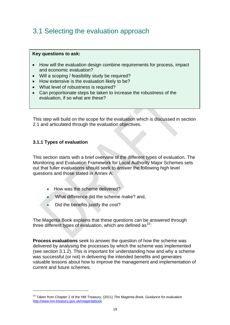# <span id="page-18-0"></span>3.1 Selecting the evaluation approach

#### **Key questions to ask:**

- How will the evaluation design combine requirements for process, impact and economic evaluation?
- Will a scoping / feasibility study be required?
- How extensive is the evaluation likely to be?
- What level of robustness is required?
- Can proportionate steps be taken to increase the robustness of the evaluation, if so what are these?

This step will build on the scope for the evaluation which is discussed in section 2.1 and articulated through the evaluation objectives.

#### **3.1.1 Types of evaluation**

This section starts with a brief overview of the different types of evaluation. The Monitoring and Evaluation Framework for Local Authority Major Schemes sets out that fuller evaluations should seek to answer the following high level questions and those stated in Annex A:

- How was the scheme delivered?
- What difference did the scheme make? and,
- Did the benefits justify the cost?

The Magenta Book explains that these questions can be answered through three different types of evaluation, which are defined as  $10<sup>c</sup>$  $10<sup>c</sup>$ .

**Process evaluations** seek to answer the question of how the scheme was delivered by analysing the processes by which the scheme was implemented (see section 3.1.2). This is important for understanding how and why a scheme was successful (or not) in delivering the intended benefits and generates valuable lessons about how to improve the management and implementation of current and future schemes;

<span id="page-18-1"></span><sup>10</sup> Taken from Chapter 2 of the HM Treasury, (2011) *The Magenta Book, Guidance for evaluation* <http://www.hm-treasury.gov.uk/magentabook>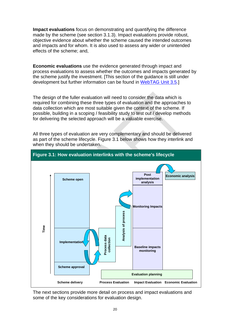**Impact evaluations** focus on demonstrating and quantifying the difference made by the scheme (see section 3.1.3). Impact evaluations provide robust, objective evidence about whether the scheme caused the intended outcomes and impacts and for whom. It is also used to assess any wider or unintended effects of the scheme; and,

**Economic evaluations** use the evidence generated through impact and process evaluations to assess whether the outcomes and impacts generated by the scheme justify the investment. [This section of the guidance is still under development but further information can be found in [WebTAG Unit 3.5](http://www.dft.gov.uk/webtag/documents/expert/unit3.5.php).]

The design of the fuller evaluation will need to consider the data which is required for combining these three types of evaluation and the approaches to data collection which are most suitable given the context of the scheme. If possible, building in a scoping / feasibility study to test out / develop methods for delivering the selected approach will be a valuable exercise.

All three types of evaluation are very complementary and should be delivered as part of the scheme lifecycle. Figure 3.1 below shows how they interlink and when they should be undertaken.



The next sections provide more detail on process and impact evaluations and some of the key considerations for evaluation design.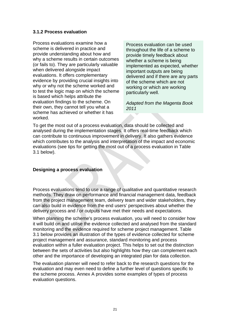#### **3.1.2 Process evaluation**

Process evaluations examine how a scheme is delivered in practice and provide understanding about how and why a scheme results in certain outcomes (or fails to). They are particularly valuable when delivered alongside impact evaluations. It offers complementary evidence by providing crucial insights into why or why not the scheme worked and to test the logic map on which the scheme is based which helps attribute the evaluation findings to the scheme. On their own, they cannot tell you what a scheme has achieved or whether it has worked.

Process evaluation can be used throughout the life of a scheme to provide timely feedback about whether a scheme is being implemented as expected, whether important outputs are being delivered and if there are any parts of the scheme which are not working or which are working particularly well.

*Adapted from the Magenta Book 2011* 

To get the most out of a process evaluation, data should be collected and analysed during the implementation stages. It offers real-time feedback which can contribute to continuous improvement in delivery. It also gathers evidence which contributes to the analysis and interpretation of the impact and economic evaluations (see tips for getting the most out of a process evaluation in Table 3.1 below).

#### **Designing a process evaluation**

Process evaluations tend to use a range of qualitative and quantitative research methods. They draw on performance and financial management data, feedback from the project management team, delivery team and wider stakeholders, they can also build in evidence from the end users' perspectives about whether the delivery process and / or outputs have met their needs and expectations.

When planning the scheme's process evaluation, you will need to consider how it will build on and utilise the evidence collected and analysed from the standard monitoring and the evidence required for scheme project management. Table 3.1 below provides an illustration of the types of evidence collected for scheme project management and assurance, standard monitoring and process evaluation within a fuller evaluation project. This helps to set out the distinction between the sets of activities but also highlights how they can complement each other and the importance of developing an integrated plan for data collection.

The evaluation planner will need to refer back to the research questions for the evaluation and may even need to define a further level of questions specific to the scheme process. Annex A provides some examples of types of process evaluation questions.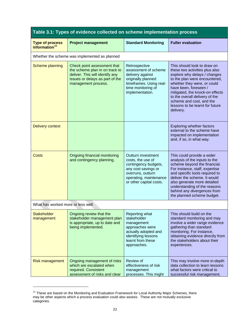| Table 3.1: Types of evidence collected on scheme implementation process |                                                                                                                                                            |                                                                                                                                                                  |                                                                                                                                                                                                                                                                                                                                         |  |
|-------------------------------------------------------------------------|------------------------------------------------------------------------------------------------------------------------------------------------------------|------------------------------------------------------------------------------------------------------------------------------------------------------------------|-----------------------------------------------------------------------------------------------------------------------------------------------------------------------------------------------------------------------------------------------------------------------------------------------------------------------------------------|--|
| <b>Type of process</b><br>information <sup>11</sup>                     | <b>Project management</b>                                                                                                                                  | <b>Standard Monitoring</b>                                                                                                                                       | <b>Fuller evaluation</b>                                                                                                                                                                                                                                                                                                                |  |
|                                                                         | Whether the scheme was implemented as planned                                                                                                              |                                                                                                                                                                  |                                                                                                                                                                                                                                                                                                                                         |  |
| Scheme planning                                                         | Check point assessment that<br>the scheme plan in on track to<br>deliver. This will identify any<br>issues or delays as part of the<br>management process. | Retrospective<br>assessment of scheme<br>delivery against<br>originally planned<br>timeframes. Using real-<br>time monitoring of<br>implementation.              | This should look to draw on<br>these two activities plus also<br>explore why delays / changes<br>to the plan were encountered,<br>whether they were, or could<br>have been, foreseen /<br>mitigated, the knock-on effects<br>to the overall delivery of the<br>scheme and cost, and the<br>lessons to be learnt for future<br>delivery. |  |
| <b>Delivery context</b>                                                 |                                                                                                                                                            |                                                                                                                                                                  | <b>Exploring whether factors</b><br>external to the scheme have<br>impacted on implementation<br>and, if so, in what way.                                                                                                                                                                                                               |  |
| <b>Costs</b>                                                            | Ongoing financial monitoring<br>and contingency planning.                                                                                                  | Outturn investment<br>costs, the use of<br>contingency budgets,<br>any cost savings or<br>overruns, outturn<br>operating, maintenance<br>or other capital costs. | This could provide a wider<br>analysis of the inputs to the<br>scheme beyond the financial.<br>For instance, staff, expertise<br>and specific tools required to<br>deliver the scheme. It would<br>also generate more detailed<br>understanding of the reasons<br>behind any divergences from<br>the planned scheme budget.             |  |
| What has worked more or less well                                       |                                                                                                                                                            |                                                                                                                                                                  |                                                                                                                                                                                                                                                                                                                                         |  |
| <b>Stakeholder</b><br>management                                        | Ongoing review that the<br>stakeholder management plan<br>is appropriate, up to date and<br>being implemented.                                             | Reporting what<br>stakeholder<br>management<br>approaches were<br>actually adopted and<br>identifying lessons<br>learnt from these<br>approaches.                | This should build on the<br>standard monitoring and may<br>involve a wider range evidence<br>gathering than standard<br>monitoring. For instance,<br>obtaining evidence directly from<br>the stakeholders about their<br>experiences.                                                                                                   |  |
| <b>Risk management</b>                                                  | Ongoing management of risks<br>which are escalated when<br>required. Consistent<br>assessment of risks and clear                                           | Review of<br>effectiveness of risk<br>management<br>processes. This might                                                                                        | This may involve more in-depth<br>data collection to learn lessons<br>what factors were critical to<br>successful risk management,                                                                                                                                                                                                      |  |

<span id="page-21-0"></span><sup>&</sup>lt;sup>11</sup> These are based on the Monitoring and Evaluation Framework for Local Authority Major Schemes, there may be other aspects which a process evaluation could also assess. These are not mutually exclusive categories.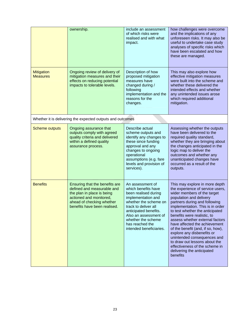|                                      | ownership.                                                                                                                                                                        | include an assessment<br>of which risks were<br>realised and with what<br>impact.                                                                                                                                                                            | how challenges were overcome<br>and the implications of any<br>unforeseen risks. It may also be<br>useful to undertake case study<br>analyses of specific risks which<br>have been escalated and how<br>these are managed.                                                                                                                                                                                                                                                                                                                             |
|--------------------------------------|-----------------------------------------------------------------------------------------------------------------------------------------------------------------------------------|--------------------------------------------------------------------------------------------------------------------------------------------------------------------------------------------------------------------------------------------------------------|--------------------------------------------------------------------------------------------------------------------------------------------------------------------------------------------------------------------------------------------------------------------------------------------------------------------------------------------------------------------------------------------------------------------------------------------------------------------------------------------------------------------------------------------------------|
| <b>Mitigation</b><br><b>Measures</b> | Ongoing review of delivery of<br>mitigation measures and their<br>effects on reducing potential<br>impacts to tolerable levels.                                                   | Description of how<br>proposed mitigation<br>measures have<br>changed during /<br>following<br>implementation and the<br>reasons for the<br>changes.                                                                                                         | This may also explore how<br>effective mitigation measures<br>were built into the scheme and<br>whether these delivered the<br>intended effects and whether<br>any unintended issues arose<br>which required additional<br>mitigation.                                                                                                                                                                                                                                                                                                                 |
|                                      | Whether it is delivering the expected outputs and outcomes                                                                                                                        |                                                                                                                                                                                                                                                              |                                                                                                                                                                                                                                                                                                                                                                                                                                                                                                                                                        |
| <b>Scheme outputs</b>                | Ongoing assurance that<br>outputs comply with agreed<br>quality criteria and delivered<br>within a defined quality<br>assurance process.                                          | Describe actual<br>scheme outputs and<br>identify any changes to<br>these since funding<br>approval and any<br>changes to ongoing<br>operational<br>assumptions (e.g. fare<br>levels and provision of<br>services).                                          | Assessing whether the outputs<br>have been delivered to the<br>required quality standard,<br>whether they are bringing about<br>the changes anticipated in the<br>logic map to deliver the<br>outcomes and whether any<br>unanticipated changes have<br>occurred as a result of the<br>outputs.                                                                                                                                                                                                                                                        |
| <b>Benefits</b>                      | Ensuring that the benefits are<br>defined and measurable and<br>the plan in place is being<br>actioned and monitored<br>ahead of checking whether<br>benefits have been realised. | An assessment of<br>which benefits have<br>been realised during<br>implementation and<br>whether the scheme on<br>track to deliver all<br>anticipated benefits.<br>Also an assessment of<br>whether the scheme<br>has reached the<br>intended beneficiaries. | This may explore in more depth<br>the experience of service users,<br>wider members of the target<br>population and delivery<br>partners during and following<br>implementation. This is in order<br>to test whether the anticipated<br>benefits were realistic, to<br>assess whether external factors<br>have affected the achievement<br>of the benefit (and, if so, how),<br>explore any disbenefits or<br>unintended consequences and<br>to draw out lessons about the<br>effectiveness of the scheme in<br>delivering the anticipated<br>benefits |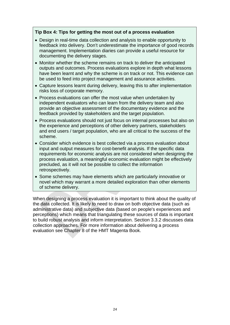#### **Tip Box 4: Tips for getting the most out of a process evaluation**

- Design in real-time data collection and analysis to enable opportunity to feedback into delivery. Don't underestimate the importance of good records management. Implementation diaries can provide a useful resource for documenting the delivery stages.
- Monitor whether the scheme remains on track to deliver the anticipated outputs and outcomes. Process evaluations explore in depth what lessons have been learnt and why the scheme is on track or not. This evidence can be used to feed into project management and assurance activities.
- Capture lessons learnt during delivery, leaving this to after implementation risks loss of corporate memory.
- Process evaluations can offer the most value when undertaken by independent evaluators who can learn from the delivery team and also provide an objective assessment of the documentary evidence and the feedback provided by stakeholders and the target population.
- Process evaluations should not just focus on internal processes but also on the experience and perceptions of other delivery partners, stakeholders and end users / target population, who are all critical to the success of the scheme.
- Consider which evidence is best collected via a process evaluation about input and output measures for cost-benefit analysis. If the specific data requirements for economic analysis are not considered when designing the process evaluation, a meaningful economic evaluation might be effectively precluded, as it will not be possible to collect the information retrospectively.
- Some schemes may have elements which are particularly innovative or novel which may warrant a more detailed exploration than other elements of scheme delivery.

When designing a process evaluation it is important to think about the quality of the data collected. It is likely to need to draw on both objective data (such as administrative data) and subjective data (based on people's experiences and perceptions) which means that triangulating these sources of data is important to build robust analysis and inform interpretation. Section 3.3.2 discusses data collection approaches. For more information about delivering a process evaluation see Chapter 8 of the HMT Magenta Book.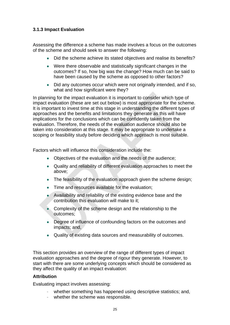#### **3.1.3 Impact Evaluation**

Assessing the difference a scheme has made involves a focus on the outcomes of the scheme and should seek to answer the following:

- Did the scheme achieve its stated objectives and realise its benefits?
- Were there observable and statistically significant changes in the outcomes? If so, how big was the change? How much can be said to have been caused by the scheme as opposed to other factors?
- Did any outcomes occur which were not originally intended, and if so, what and how significant were they?

In planning for the impact evaluation it is important to consider which type of impact evaluation (these are set out below) is most appropriate for the scheme. It is important to invest time at this stage in understanding the different types of approaches and the benefits and limitations they generate as this will have implications for the conclusions which can be confidently taken from the evaluation. Therefore, the needs of the evaluation audience should also be taken into consideration at this stage. It may be appropriate to undertake a scoping or feasibility study before deciding which approach is most suitable.

Factors which will influence this consideration include the:

- Objectives of the evaluation and the needs of the audience;
- Quality and reliability of different evaluation approaches to meet the above;
- The feasibility of the evaluation approach given the scheme design;
- Time and resources available for the evaluation;
- Availability and reliability of the existing evidence base and the contribution this evaluation will make to it;
- Complexity of the scheme design and the relationship to the outcomes;
- Degree of influence of confounding factors on the outcomes and impacts; and,
- Quality of existing data sources and measurability of outcomes.

This section provides an overview of the range of different types of impact evaluation approaches and the degree of rigour they generate. However, to start with there are some underlying concepts which should be considered as they affect the quality of an impact evaluation:

#### **Attribution**

Evaluating impact involves assessing:

- whether something has happened using descriptive statistics; and,
- whether the scheme was responsible.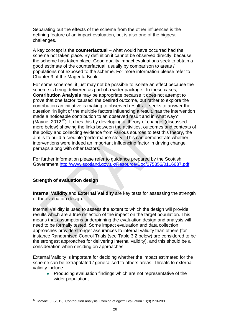Separating out the effects of the scheme from the other influences is the defining feature of an impact evaluation, but is also one of the biggest challenges.

A key concept is the **counterfactual** – what would have occurred had the scheme not taken place. By definition it cannot be observed directly, because the scheme has taken place. Good quality impact evaluations seek to obtain a good estimate of the counterfactual, usually by comparison to areas / populations not exposed to the scheme. For more information please refer to Chapter 9 of the Magenta Book.

For some schemes, it just may not be possible to isolate an effect because the scheme is being delivered as part of a wider package. In these cases, **Contribution Analysis** may be appropriate because it does not attempt to prove that one factor 'caused' the desired outcome, but rather to explore the contribution an initiative is making to observed results. It seeks to answer the question "in light of the multiple factors influencing a result, has the intervention made a noticeable contribution to an observed result and in what way?" (Mayne,  $2012^{12}$  $2012^{12}$  $2012^{12}$ ). It does this by developing a 'theory of change' (discussed more below) showing the links between the activities, outcomes and contexts of the policy and collecting evidence from various sources to test this theory, the aim is to build a credible 'performance story'. This can demonstrate whether interventions were indeed an important influencing factor in driving change, perhaps along with other factors.

For further information please refer to guidance prepared by the Scottish Government<http://www.scotland.gov.uk/Resource/Doc/175356/0116687.pdf>

#### **Strength of evaluation design**

**Internal Validity** and **External Validity** are key tests for assessing the strength of the evaluation design.

Internal Validity is used to assess the extent to which the design will provide results which are a true reflection of the impact on the target population. This means that assumptions underpinning the evaluation design and analysis will need to be formally tested. Some impact evaluation and data collection approaches provide stronger assurances to internal validity than others (for instance Randomised Control Trials (see Table 3.2 below) are considered to be the strongest approaches for delivering internal validity), and this should be a consideration when deciding on approaches.

External Validity is important for deciding whether the impact estimated for the scheme can be extrapolated / generalised to others areas. Threats to external validity include:

• Producing evaluation findings which are not representative of the wider population;

<span id="page-25-0"></span> $12$  Mayne. J, (2012) 'Contribution analysis: Coming of age?' Evaluation 18(3) 270-280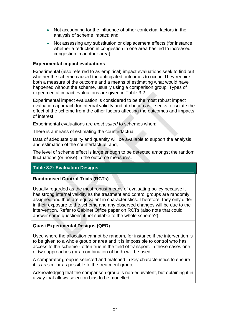- Not accounting for the influence of other contextual factors in the analysis of scheme impact; and,
- Not assessing any substitution or displacement effects (for instance whether a reduction in congestion in one area has led to increased congestion in another area).

#### **Experimental impact evaluations**

Experimental (also referred to as empirical) impact evaluations seek to find out whether the scheme caused the anticipated outcomes to occur. They require both a measure of the outcome and a means of estimating what would have happened without the scheme, usually using a comparison group. Types of experimental impact evaluations are given in Table 3.2.

Experimental impact evaluation is considered to be the most robust impact evaluation approach for internal validity and attribution as it seeks to isolate the effect of the scheme from the other factors affecting the outcomes and impacts of interest.

Experimental evaluations are *most suited* to schemes when:

There is a means of estimating the counterfactual;

Data of adequate quality and quantity will be available to support the analysis and estimation of the counterfactual; and,

The level of scheme effect is large enough to be detected amongst the random fluctuations (or noise) in the outcome measures.

#### **Table 3.2: Evaluation Designs**

#### **Randomised Control Trials (RCTs)**

Usually regarded as the most robust means of evaluating policy because it has strong internal validity as the treatment and control groups are randomly assigned and thus are equivalent in characteristics. Therefore, they only differ in their exposure to the scheme and any observed changes will be due to the intervention. Refer to Cabinet Office paper on RCTs (also note that could answer some questions if not suitable to the whole scheme?)

#### **Quasi Experimental Designs (QED)**

Used where the allocation cannot be random, for instance if the intervention is to be given to a whole group or area and it is impossible to control who has access to the scheme - often true in the field of transport. In these cases one of two approaches (or a combination of both) will be used:

A comparator group is selected and matched in key characteristics to ensure it is as similar as possible to the treatment group;

Acknowledging that the comparison group is non-equivalent, but obtaining it in a way that allows selection bias to be modelled.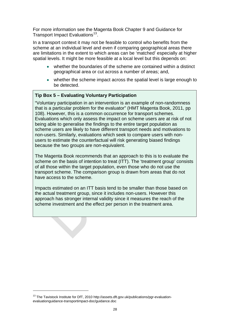For more information see the Magenta Book Chapter 9 and Guidance for Transport Impact Evaluations<sup>[13](#page-27-0)</sup>.

In a transport context it may not be feasible to control who benefits from the scheme at an individual level and even if comparing geographical areas there are limitations in the extent to which areas can be 'matched' especially at higher spatial levels. It might be more feasible at a local level but this depends on:

- whether the boundaries of the scheme are contained within a distinct geographical area or cut across a number of areas; and,
- whether the scheme impact across the spatial level is large enough to be detected.

#### **Tip Box 5 – Evaluating Voluntary Participation**

"Voluntary participation in an intervention is an example of non-randomness that is a particular problem for the evaluator" (HMT Magenta Book, 2011, pp 108). However, this is a common occurrence for transport schemes. Evaluations which only assess the impact on scheme users are at risk of not being able to generalise the findings to the entire target population as scheme users are likely to have different transport needs and motivations to non-users. Similarly, evaluations which seek to compare users with nonusers to estimate the counterfactual will risk generating biased findings because the two groups are non-equivalent.

The Magenta Book recommends that an approach to this is to evaluate the scheme on the basis of intention to treat (ITT). The 'treatment group' consists of all those within the target population, even those who do not use the transport scheme. The comparison group is drawn from areas that do not have access to the scheme.

Impacts estimated on an ITT basis tend to be smaller than those based on the actual treatment group, since it includes non-users. However this approach has stronger internal validity since it measures the reach of the scheme investment and the effect per person in the treatment area.

<span id="page-27-0"></span><sup>&</sup>lt;sup>13</sup> The Tavistock Institute for DfT, 2010 http://assets.dft.gov.uk/publications/pgr-evaluationevaluationguidance-transportimpact-doc/guidance.doc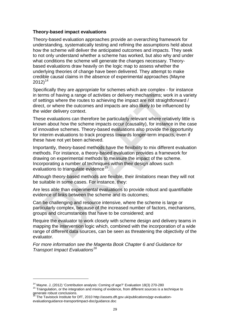#### **Theory-based impact evaluations**

Theory-based evaluation approaches provide an overarching framework for understanding, systematically testing and refining the assumptions held about how the scheme will deliver the anticipated outcomes and impacts. They seek to not only understand whether a scheme has worked, but also why and under what conditions the scheme will generate the changes necessary. Theorybased evaluations draw heavily on the logic map to assess whether the underlying theories of change have been delivered. They attempt to make credible causal claims in the absence of experimental approaches (Mayne  $2012$ <sup>[14](#page-28-0)</sup>

Specifically they are *appropriate* for schemes which are complex - for instance in terms of having a range of activities or delivery mechanisms; work in a variety of settings where the routes to achieving the impact are not straightforward / direct, or where the outcomes and impacts are also likely to be influenced by the wider delivery context.

These evaluations can therefore be particularly relevant where relatively little is known about how the scheme impacts occur (causality), for instance in the case of innovative schemes. Theory-based evaluations also provide the opportunity for interim evaluations to track progress towards longer-term impacts, even if these have not yet been achieved.

Importantly, theory-based methods have the flexibility to mix different evaluation methods. For instance, a theory-based evaluation provides a framework for drawing on experimental methods to measure the impact of the scheme. Incorporating a number of techniques within their design allows such evaluations to triangulate evidence<sup>[15](#page-28-1)</sup>.

Although theory-based methods are flexible, their *limitations* mean they will not be suitable in some cases. For instance, they:

Are less able than experimental evaluations to provide robust and quantifiable evidence of links between the scheme and its outcomes;

Can be challenging and resource intensive, where the scheme is large or particularly complex, because of the increased number of factors, mechanisms, groups and circumstances that have to be considered; and

Require the evaluator to work closely with scheme design and delivery teams in mapping the intervention logic which, combined with the incorporation of a wide range of different data sources, can be seen as threatening the objectivity of the evaluator.

*For more information see the Magenta Book Chapter 6 and Guidance for Transport Impact Evaluations[16](#page-28-2)*

<span id="page-28-1"></span><span id="page-28-0"></span><sup>&</sup>lt;sup>14</sup> Mayne. J, (2012) 'Contribution analysis: Coming of age?' Evaluation 18(3) 270-280<br><sup>15</sup> Triangulation, or the integration and mixing of evidence, from different sources is a technique to generate robust conclusions.<br><sup>16</sup> The T-

<span id="page-28-2"></span><sup>16</sup> The Tavistock Institute for DfT, 2010 http://assets.dft.gov.uk/publications/pgr-evaluationevaluationguidance-transportimpact-doc/guidance.doc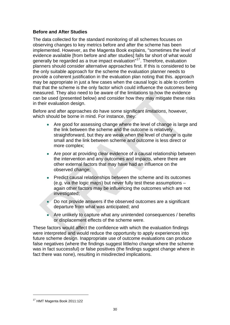#### **Before and After Studies**

The data collected for the standard monitoring of all schemes focuses on observing changes to key metrics before and after the scheme has been implemented. However, as the Magenta Book explains, "sometimes the level of evidence available [from before and after studies] falls far short of what would generally be regarded as a true impact evaluation"[17](#page-29-0). Therefore, evaluation planners should consider alternative approaches first. If this is considered to be the only suitable approach for the scheme the evaluation planner needs to provide a coherent justification in the evaluation plan noting that this. approach may be appropriate in just a few cases when the causal logic is able to confirm that that the scheme is the only factor which could influence the outcomes being measured. They also need to be aware of the limitations to how the evidence can be used (presented below) and consider how they may mitigate these risks in their evaluation design.

Before and after approaches do have some significant *limitations*, however, which should be borne in mind. For instance, they:

- Are good for assessing change where the level of change is large and the link between the scheme and the outcome is relatively straightforward, but they are weak when the level of change is quite small and the link between scheme and outcome is less direct or more complex;
- Are poor at providing clear evidence of a causal relationship between the intervention and any outcomes and impacts, where there are other external factors that may have had an influence on the observed change;
- Predict causal relationships between the scheme and its outcomes (e.g. via the logic maps) but never fully test these assumptions – again other factors may be influencing the outcomes which are not investigated;
- Do not provide answers if the observed outcomes are a significant departure from what was anticipated; and
- Are unlikely to capture what any unintended consequences / benefits or displacement effects of the scheme were.

These factors would affect the confidence with which the evaluation findings were interpreted and would reduce the opportunity to apply experiences into future scheme design. Inappropriate use of outcome evaluations can produce false negatives (where the findings suggest little/no change where the scheme was in fact successful) or false positives (the findings suggest change where in fact there was none), resulting in misdirected implications.

<span id="page-29-0"></span><sup>17</sup> HMT Magenta Book 2011:122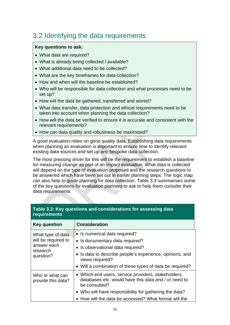# <span id="page-30-0"></span>3.2 Identifying the data requirements

#### **Key questions to ask:**

- What data are required?
- What is already being collected / available?
- What additional data need to be collected?
- What are the key timeframes for data collection?
- How and when will the baseline be established?
- Who will be responsible for data collection and what processes need to be set up?
- How will the data be gathered, transferred and stored?
- What data transfer, data protection and ethical requirements need to be taken into account when planning the data collection?
- How will the data be verified to ensure it is accurate and consistent with the relevant requirements?
- How can data quality and robustness be maximised?

A good evaluation relies on good quality data. Establishing data requirements when planning an evaluation is important to ensure time to identify relevant existing data sources and set up any bespoke data collection.

The most pressing driver for this will be the requirement to establish a baseline for measuring change as part of an impact evaluation. What data is collected will depend on the type of evaluation proposed and the research questions to be answered which have been set out in earlier planning steps. The logic map can also help to guide planning for data collection. Table 3.3 summarises some of the key questions for evaluation planners to ask to help them consider their data requirements.

| requirements                                                                     |                                                                                                                                                                                      |
|----------------------------------------------------------------------------------|--------------------------------------------------------------------------------------------------------------------------------------------------------------------------------------|
| <b>Key question</b>                                                              | <b>Consideration</b>                                                                                                                                                                 |
| What type of data<br>will be required to<br>answer each<br>research<br>question? | • Is numerical data required?<br>• Is documentary data required?<br>• Is observational data required?<br>• Is data to describe people's experience, opinions, and<br>views required? |
|                                                                                  | • Will a combination of these types of data be required?                                                                                                                             |
| Who or what can<br>provide this data?                                            | • Which end users, service providers, stakeholders,<br>databases etc. would have this data and / or need to<br>be consulted?                                                         |
|                                                                                  | • Who will have responsibility for gathering the data?                                                                                                                               |
|                                                                                  | • How will the data be accessed? What format will the                                                                                                                                |

#### **Table 3.3: Key questions and considerations for assessing data requirements**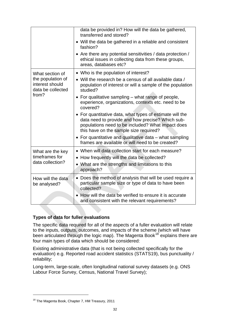|                                                                    | data be provided in? How will the data be gathered,<br>transferred and stored?                                                                                                                              |
|--------------------------------------------------------------------|-------------------------------------------------------------------------------------------------------------------------------------------------------------------------------------------------------------|
|                                                                    | • Will the data be gathered in a reliable and consistent<br>fashion?                                                                                                                                        |
|                                                                    | • Are there any potential sensitivities / data protection /<br>ethical issues in collecting data from these groups,<br>areas, databases etc?                                                                |
| What section of                                                    | • Who is the population of interest?                                                                                                                                                                        |
| the population of<br>interest should<br>data be collected<br>from? | • Will the research be a census of all available data /<br>population of interest or will a sample of the population<br>studied?                                                                            |
|                                                                    | • For qualitative sampling – what range of people,<br>experience, organizations, contexts etc. need to be<br>covered?                                                                                       |
|                                                                    | • For quantitative data, what types of estimate will the<br>data need to provide and how precise? Which sub-<br>populations need to be included? What impact does<br>this have on the sample size required? |
|                                                                    | • For quantitative and qualitative data $-$ what sampling<br>frames are available or will need to be created?                                                                                               |
| What are the key                                                   | • When will data collection start for each measure?                                                                                                                                                         |
| timeframes for<br>data collection?                                 | • How frequently will the data be collected?                                                                                                                                                                |
|                                                                    | • What are the strengths and limitations to this<br>approach?                                                                                                                                               |
| How will the data<br>be analysed?                                  | • Does the method of analysis that will be used require a<br>particular sample size or type of data to have been<br>collected?                                                                              |
|                                                                    | How will the data be verified to ensure it is accurate<br>and consistent with the relevant requirements?                                                                                                    |

#### **Types of data for fuller evaluations**

The specific data required for all of the aspects of a fuller evaluation will relate to the inputs, outputs, outcomes, and impacts of the scheme (which will have been articulated through the logic map). The Magenta Book<sup>[18](#page-31-0)</sup> explains there are four main types of data which should be considered:

Existing administrative data (that is not being collected specifically for the evaluation) e.g. Reported road accident statistics (STATS19), bus punctuality / reliability;

Long-term, large-scale, often longitudinal national survey datasets (e.g. ONS Labour Force Survey, Census, National Travel Survey);

<span id="page-31-0"></span><sup>&</sup>lt;sup>18</sup> The Magenta Book, Chapter 7, HM Treasury, 2011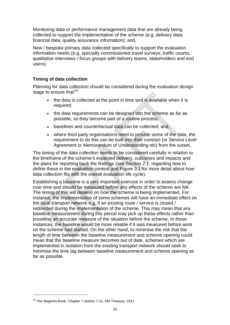Monitoring data or performance management data that are already being collected to support the implementation of the scheme (e.g. delivery data, financial data, quality assurance information); and,

New / bespoke primary data collected specifically to support the evaluation information needs (e.g. specially commissioned travel surveys, traffic counts, qualitative interviews / focus groups with delivery teams, stakeholders and end users).

#### **Timing of data collection**

Planning for data collection should be considered during the evaluation design stage to ensure that  $19$ :

- the data is collected at the point in time and is available when it is required;
- the data requirements can be designed into the scheme as far as possible, so they become part of a routine process;
- baselines and counterfactual data can be collected; and,
- where third party organisations need to provide some of the data, the requirement to do this can be built into their contract (or Service Level Agreement or Memorandum of Understanding etc) from the outset.

The timing of the data collection needs to be considered carefully in relation to the timeframe of the scheme's expected delivery, outcomes and impacts and the plans for reporting back the findings (see Section 2.1. regarding how to define these in the evaluation context and Figure 3.1 for more detail about how data collection fits with the overall evaluation life cycle).

Establishing a baseline is a very important exercise in order to assess change over time and should be measured before any effects of the scheme are felt. The timing of this will depend on how the scheme is being implemented. For instance, the implementation of some schemes will have an immediate effect on the local transport network e.g. if an existing route / service is closed / redirected during the implementation of the scheme. This may mean that any baseline measurement during this period may pick up these effects rather than providing an accurate measure of the situation before the scheme. In these instances, the baseline would be more reliable if it was measured before work on the scheme had started. On the other hand, to minimise the risk that the length of time between the baseline measurement and scheme opening could mean that the baseline measure becomes out of date, schemes which are implemented in isolation from the existing transport network should seek to minimise the time lag between baseline measurement and scheme opening as far as possible.

<span id="page-32-0"></span><sup>&</sup>lt;sup>19</sup> The Magenta Book, Chapter 7 section 7.12, HM Treasury, 2011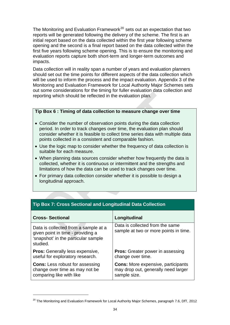The Monitoring and Evaluation Framework $^{20}$  $^{20}$  $^{20}$  sets out an expectation that two reports will be generated following the delivery of the scheme. The first is an initial report based on the data collected within the first year following scheme opening and the second is a final report based on the data collected within the first five years following scheme opening. This is to ensure the monitoring and evaluation reports capture both short-term and longer-term outcomes and impacts.

Data collection will in reality span a number of years and evaluation planners should set out the time points for different aspects of the data collection which will be used to inform the process and the impact evaluation. Appendix 3 of the Monitoring and Evaluation Framework for Local Authority Major Schemes sets out some considerations for the timing for fuller evaluation data collection and reporting which should be reflected in the evaluation plan.

#### **Tip Box 6 : Timing of data collection to measure change over time**

- Consider the number of observation points during the data collection period. In order to track changes over time, the evaluation plan should consider whether it is feasible to collect time series data with multiple data points collected in a consistent and comparable fashion.
- Use the logic map to consider whether the frequency of data collection is suitable for each measure.
- When planning data sources consider whether how frequently the data is collected, whether it is continuous or intermittent and the strengths and limitations of how the data can be used to track changes over time.
- For primary data collection consider whether it is possible to design a longitudinal approach.

| <b>Cross-Sectional</b>                                                                                                       | Longitudinal                                                                                     |
|------------------------------------------------------------------------------------------------------------------------------|--------------------------------------------------------------------------------------------------|
| Data is collected from a sample at a<br>given point in time - providing a<br>'snapshot' in the particular sample<br>studied. | Data is collected from the same<br>sample at two or more points in time.                         |
| <b>Pros:</b> Generally less expensive,<br>useful for exploratory research.                                                   | <b>Pros:</b> Greater power in assessing<br>change over time.                                     |
| <b>Cons:</b> Less robust for assessing<br>change over time as may not be<br>comparing like with like                         | <b>Cons:</b> More expensive, participants<br>may drop out, generally need larger<br>sample size. |

#### **Tip Box 7: Cross Sectional and Longitudinal Data Collection**

<span id="page-33-0"></span><sup>&</sup>lt;sup>20</sup> The Monitoring and Evaluation Framework for Local Authority Major Schemes, paragraph 7.6, DfT, 2012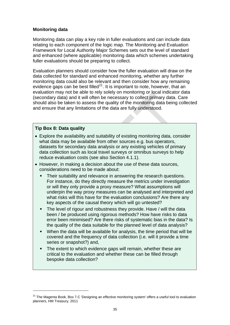#### **Monitoring data**

Monitoring data can play a key role in fuller evaluations and can include data relating to each component of the logic map. The Monitoring and Evaluation Framework for Local Authority Major Schemes sets out the level of standard and enhanced (where applicable) monitoring data which schemes undertaking fuller evaluations should be preparing to collect.

Evaluation planners should consider how the fuller evaluation will draw on the data collected for standard and enhanced monitoring, whether any further monitoring data could also be relevant and then consider how any remaining evidence gaps can be best filled<sup>[21](#page-34-0)</sup>. It is important to note, however, that an evaluation may not be able to rely solely on monitoring or local indicator data (secondary data) and it will often be necessary to collect primary data. Care should also be taken to assess the quality of the monitoring data being collected and ensure that any limitations of the data are fully understood.

#### **Tip Box 8: Data quality**

- Explore the availability and suitability of existing monitoring data, consider what data may be available from other sources e.g. bus operators, datasets for secondary data analysis or any existing vehicles of primary data collection such as local travel surveys or omnibus surveys to help reduce evaluation costs (see also Section 4.1.1).
- However, in making a decision about the use of these data sources, considerations need to be made about:
	- Their suitability and relevance in answering the research questions. For instance, do they directly measure the metrics under investigation or will they only provide a proxy measure? What assumptions will underpin the way proxy measures can be analysed and interpreted and what risks will this have for the evaluation conclusions? Are there any key aspects of the causal theory which will go untested?
	- The level of rigour and robustness they provide. Have / will the data been / be produced using rigorous methods? How have risks to data error been minimised? Are there risks of systematic bias in the data? Is the quality of the data suitable for the planned level of data analysis?
	- When the data will be available for analysis, the time period that will be covered and the frequency of data collection (i.e. will it provide a time series or snapshot?) and,
	- The extent to which evidence gaps will remain, whether these are critical to the evaluation and whether these can be filled through bespoke data collection?

<span id="page-34-0"></span><sup>&</sup>lt;sup>21</sup> The Magenta Book, Box 7.C 'Designing an effective monitoring system' offers a useful tool to evaluation planners, HM Treasury, 2011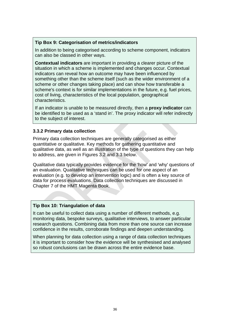#### **Tip Box 9: Categorisation of metrics/indicators**

In addition to being categorised according to scheme component, indicators can also be classed in other ways.

**Contextual indicators** are important in providing a clearer picture of the situation in which a scheme is implemented and changes occur. Contextual indicators can reveal how an outcome may have been influenced by something other than the scheme itself (such as the wider environment of a scheme or other changes taking place) and can show how transferable a scheme's context is for similar implementations in the future, e.g. fuel prices, cost of living, characteristics of the local population, geographical characteristics.

If an indicator is unable to be measured directly, then a **proxy indicator** can be identified to be used as a 'stand in'. The proxy indicator will refer indirectly to the subject of interest.

#### **3.3.2 Primary data collection**

Primary data collection techniques are generally categorised as either quantitative or qualitative. Key methods for gathering quantitative and qualitative data, as well as an illustration of the type of questions they can help to address, are given in Figures 3.2 and 3.3 below.

Qualitative data typically provides evidence for the 'how' and 'why' questions of an evaluation. Qualitative techniques can be used for one aspect of an evaluation (e.g. to develop an intervention logic) and is often a key source of data for process evaluations. Data collection techniques are discussed in Chapter 7 of the HMT Magenta Book.

#### **Tip Box 10: Triangulation of data**

It can be useful to collect data using a number of different methods, e.g. monitoring data, bespoke surveys, qualitative interviews, to answer particular research questions. Combining data from more than one source can increase confidence in the results, corroborate findings and deepen understanding.

When planning for data collection using a range of data collection techniques it is important to consider how the evidence will be synthesised and analysed so robust conclusions can be drawn across the entire evidence base.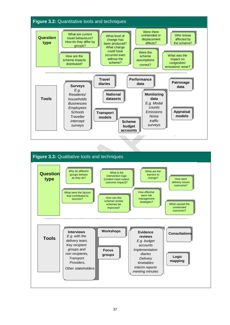

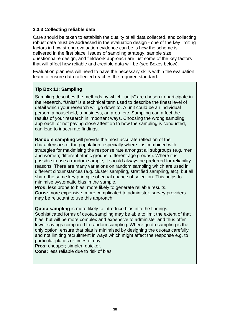#### **3.3.3 Collecting reliable data**

Care should be taken to establish the quality of all data collected, and collecting robust data must be addressed in the evaluation design - one of the key limiting factors in how strong evaluation evidence can be is how the scheme is delivered in the first place. Issues of sampling strategy, sample size, questionnaire design, and fieldwork approach are just some of the key factors that will affect how reliable and credible data will be (see Boxes below).

Evaluation planners will need to have the necessary skills within the evaluation team to ensure data collected reaches the required standard.

#### **Tip Box 11: Sampling**

Sampling describes the methods by which "units" are chosen to participate in the research. "Units" is a technical term used to describe the finest level of detail which your research will go down to. A unit could be an individual person, a household, a business, an area, etc. Sampling can affect the results of your research in important ways. Choosing the wrong sampling approach, or not paying close attention to how the sampling is conducted, can lead to inaccurate findings.

**Random sampling** will provide the most accurate reflection of the characteristics of the population, especially where it is combined with strategies for maximising the response rate amongst all subgroups (e.g. men and women; different ethnic groups; different age groups). Where it is possible to use a random sample, it should always be preferred for reliability reasons. There are many variations on random sampling which are used in different circumstances (e.g. cluster sampling, stratified sampling, etc), but all share the same key principle of equal chance of selection. This helps to minimise systematic bias in the sample.

**Pros:** less prone to bias; more likely to generate reliable results.

**Cons:** more expensive; more complicated to administer; survey providers may be reluctant to use this approach.

**Quota sampling** is more likely to introduce bias into the findings. Sophisticated forms of quota sampling may be able to limit the extent of that bias, but will be more complex and expensive to administer and thus offer lower savings compared to random sampling. Where quota sampling is the only option, ensure that bias is minimised by designing the quotas carefully and not limiting recruitment in ways which might affect the response e.g. to particular places or times of day.

**Pros:** cheaper; simpler; quicker.

**Cons:** less reliable due to risk of bias.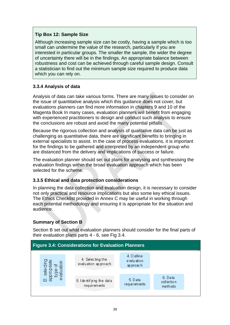#### **Tip Box 12: Sample Size**

Although increasing sample size can be costly, having a sample which is too small can undermine the value of the research, particularly if you are interested in particular groups. The smaller the sample, the wider the degree of uncertainty there will be in the findings. An appropriate balance between robustness and cost can be achieved through careful sample design. Consult a statistician to find out the minimum sample size required to produce data which you can rely on.

#### **3.3.4 Analysis of data**

Analysis of data can take various forms. There are many issues to consider on the issue of quantitative analysis which this guidance does not cover, but evaluations planners can find more information in chapters 9 and 10 of the Magenta Book In many cases, evaluation planners will benefit from engaging with experienced practitioners to design and conduct such analysis to ensure the conclusions are robust and avoid the many potential pitfalls.

Because the rigorous collection and analysis of qualitative data can be just as challenging as quantitative data, there are significant benefits to bringing in external specialists to assist. In the case of process evaluations, it is important for the findings to be gathered and interpreted by an independent group who are distanced from the delivery and implications of success or failure.

The evaluation planner should set out plans for analysing and synthesising the evaluation findings within the broad evaluation approach which has been selected for the scheme.

#### **3.3.5 Ethical and data protection considerations**

In planning the data collection and evaluation design, it is necessary to consider not only practical and resource implications but also some key ethical issues. The Ethics Checklist provided in Annex C may be useful in working through each potential methodology and ensuring it is appropriate for the situation and audience.

#### **Summary of Section B**

Section B set out what evaluation planners should consider for the final parts of their evaluation plans parts 4 - 6, see Fig 3.4.

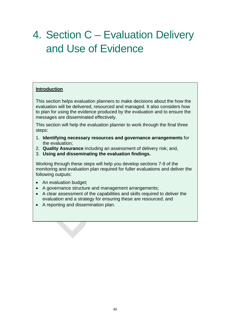# <span id="page-39-0"></span>4. Section C – Evaluation Delivery and Use of Evidence

#### **Introduction**

This section helps evaluation planners to make decisions about the how the evaluation will be delivered, resourced and managed. It also considers how to plan for using the evidence produced by the evaluation and to ensure the messages are disseminated effectively.

This section will help the evaluation planner to work through the final three steps:

- 1. **Identifying necessary resources and governance arrangements** for the evaluation;
- 2. **Quality Assurance** including an assessment of delivery risk; and,
- 3. **Using and disseminating the evaluation findings.**

Working through these steps will help you develop sections 7-9 of the monitoring and evaluation plan required for fuller evaluations and deliver the following outputs:

- An evaluation budget;
- A governance structure and management arrangements;
- A clear assessment of the capabilities and skills required to deliver the evaluation and a strategy for ensuring these are resourced; and
- A reporting and dissemination plan.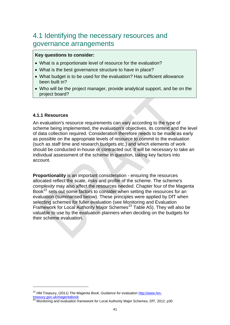### <span id="page-40-0"></span>4.1 Identifying the necessary resources and governance arrangements

#### **Key questions to consider:**

- What is a proportionate level of resource for the evaluation?
- What is the best governance structure to have in place?
- What budget is to be used for the evaluation? Has sufficient allowance been built in?
- Who will be the project manager, provide analytical support, and be on the project board?

#### **4.1.1 Resources**

An evaluation's resource requirements can vary according to the type of scheme being implemented, the evaluation's objectives, its context and the level of data collection required. Consideration therefore needs to be made as early as possible on the appropriate levels of resource to commit to the evaluation (such as staff time and research budgets etc.) and which elements of work should be conducted in-house or contracted out. It will be necessary to take an individual assessment of the scheme in question, taking key factors into account.

**Proportionality** is an important consideration - ensuring the resources allocated reflect the scale, risks and profile of the scheme. The scheme's *complexity* may also affect the resources needed. Chapter four of the Magenta Book<sup>[22](#page-40-1)</sup> sets out some factors to consider when setting the resources for an evaluation (summarised below). These principles were applied by DfT when selecting schemes for fuller evaluation (see Monitoring and Evaluation Framework for Local Authority Major Schemes<sup>[23](#page-40-2)</sup> Table A5). They will also be valuable to use by the evaluation planners when deciding on the budgets for their scheme evaluation.

<span id="page-40-1"></span><sup>&</sup>lt;sup>22</sup> HM Treasury, (2011) *The Magenta Book, Guidance for evaluation* [http://www.hm](http://www.hm-treasury.gov.uk/magentabook)[treasury.gov.uk/magentabook](http://www.hm-treasury.gov.uk/magentabook)

<span id="page-40-2"></span> $^{23}$  Monitoring and evaluation framework for Local Authority Major Schemes, DfT, 2012, p30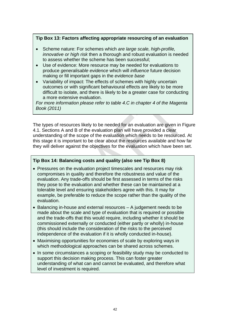#### **Tip Box 13: Factors affecting appropriate resourcing of an evaluation**

- Scheme nature: For schemes which *are large scale, high-profile, innovative or high risk* then a thorough and robust evaluation is needed to assess whether the scheme has been successful;
- Use of evidence: More resource may be needed for evaluations to produce *generalisable evidence* which will *influence* future decision making or fill important gaps in the *evidence base*
- Variability of impact: The effects of schemes with highly uncertain outcomes or with significant behavioural effects are likely to be more difficult to isolate, and there is likely to be a greater case for conducting a more extensive evaluation.

*For more information please refer to table 4.C in chapter 4 of the Magenta Book (2011)* 

The types of resources likely to be needed for an evaluation are given in Figure 4.1. Sections A and B of the evaluation plan will have provided a clear understanding of the scope of the evaluation which needs to be resourced. At this stage it is important to be clear about the resources available and how far they will deliver against the objectives for the evaluation which have been set.

#### **Tip Box 14: Balancing costs and quality (also see Tip Box 8)**

- Pressures on the evaluation project timescales and resources may risk compromises in quality and therefore the robustness and value of the evaluation. Any trade-offs should be first assessed in terms of the risks they pose to the evaluation and whether these can be maintained at a tolerable level and ensuring stakeholders agree with this. It may for example, be preferable to reduce the scope rather than the quality of the evaluation.
- Balancing in-house and external resources A judgement needs to be made about the scale and type of evaluation that is required or possible and the trade-offs that this would require, including whether it should be commissioned externally or conducted (either partly or wholly) in-house (this should include the consideration of the risks to the perceived independence of the evaluation if it is wholly conducted in-house).
- Maximising opportunities for economies of scale by exploring ways in which methodological approaches can be shared across schemes.
- In some circumstances a scoping or feasibility study may be conducted to support this decision making process. This can foster greater understanding of what can and cannot be evaluated, and therefore what level of investment is required.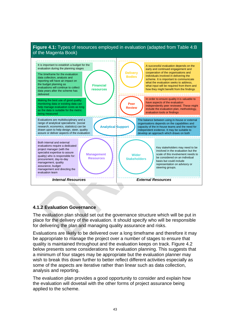

#### **4.1.2 Evaluation Governance**

The evaluation plan should set out the governance structure which will be put in place for the delivery of the evaluation. It should specify who will be responsible for delivering the plan and managing quality assurance and risks.

Evaluations are likely to be delivered over a long timeframe and therefore it may be appropriate to manage the project over a number of stages to ensure that quality is maintained throughout and the evaluation keeps on track. Figure 4.2 below presents some considerations for evaluation planning. This suggests that a minimum of four stages may be appropriate but the evaluation planner may wish to break this down further to better reflect different activities especially as some of the aspects are iterative rather than linear such as data collection, analysis and reporting.

The evaluation plan provides a good opportunity to consider and explain how the evaluation will dovetail with the other forms of project assurance being applied to the scheme.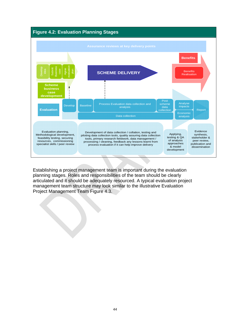

Establishing a project management team is important during the evaluation planning stages. Roles and responsibilities of the team should be clearly articulated and it should be adequately resourced. A typical evaluation project management team structure may look similar to the illustrative Evaluation Project Management Team Figure 4.3.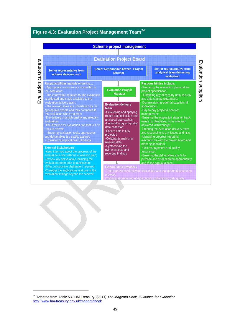| Figure 4.3: Evaluation Project Management Team <sup>24</sup>                                                                                                                                                                                                                                                                                                                                                                                                                                                                                                                                                               | <b>Scheme project management</b>                                                                                                                                                                                                                                                                         |            |                                                                                                                                                                                                                                                                                                                                                                                                                                                                                                                                                                          |
|----------------------------------------------------------------------------------------------------------------------------------------------------------------------------------------------------------------------------------------------------------------------------------------------------------------------------------------------------------------------------------------------------------------------------------------------------------------------------------------------------------------------------------------------------------------------------------------------------------------------------|----------------------------------------------------------------------------------------------------------------------------------------------------------------------------------------------------------------------------------------------------------------------------------------------------------|------------|--------------------------------------------------------------------------------------------------------------------------------------------------------------------------------------------------------------------------------------------------------------------------------------------------------------------------------------------------------------------------------------------------------------------------------------------------------------------------------------------------------------------------------------------------------------------------|
| Evaluation customers<br>Senior representative from                                                                                                                                                                                                                                                                                                                                                                                                                                                                                                                                                                         | <b>Evaluation Project Board</b><br><b>Senior Responsible Owner / Project</b>                                                                                                                                                                                                                             |            | Senior representative from                                                                                                                                                                                                                                                                                                                                                                                                                                                                                                                                               |
| scheme delivery team                                                                                                                                                                                                                                                                                                                                                                                                                                                                                                                                                                                                       | <b>Director</b>                                                                                                                                                                                                                                                                                          |            | analytical team delivering<br>evaluation                                                                                                                                                                                                                                                                                                                                                                                                                                                                                                                                 |
| Responsibilities include ensuring<br>- Appropriate resources are committed to<br>the evaluation:<br>- The information required for the evaluation<br>is collected and made available to the<br>evaluation delivery team;<br>- The relevant roles are undertaken by the<br>appropriate people and they contribute to<br>the evaluation when required:<br>-The delivery of a high quality and relevant<br>evaluation:<br>-The direction for evaluation and that is it on<br>track to deliver:<br>-- Ensuring evaluation tools, approaches<br>and deliverables are quality assured<br>- Considering implications of findings. | <b>Evaluation Project</b><br><b>Manager</b><br><b>Evaluation delivery</b><br>team<br>-Developing and applying<br>robust data collection and<br>analytical approaches;<br>-Undertaking good quality<br>data collection:<br>-Ensure data is fully<br>protected<br>-Collating & analysing<br>relevant data: |            | <b>Responsibilities include:</b><br>-Preparing the evaluation plan and the<br>project specification;<br>- Obtaining any necessary data security<br>and data sharing clearances;<br>-Commissioning external suppliers (if<br>appropriate);<br>-Day-to-day project & contract<br>management;<br>-Ensuring the evaluation stays on track,<br>meets its objectives, is on time and<br>delivered within budget:<br>-Steering the evaluation delivery team<br>and responding to any issues and risks;<br>-Managing progress reporting<br>mechanisms with the project board and |
| <b>External Stakeholders</b><br>-Keep informed about the progress of the<br>evaluation in line with the evaluation plan;<br>-Review key deliverables including the<br>evaluation report prior to publication;<br>-Offer constructive challenge if required;<br>-Consider the implications and use of the<br>evaluation findings beyond the scheme.                                                                                                                                                                                                                                                                         | -Synthesising the<br>evidence base and<br>reporting findings<br><b>External data providers</b><br>protocol:                                                                                                                                                                                              | assurance: | other stakeholders:<br>-Risk management and quality<br>-Ensuring the deliverables are fit for<br>purpose and disseminated appropriately<br>and to the right audience.<br>-Timely provision of relevant data in line with the agreed data sharing<br>-Transparent reporting of data origins and ensuring data quality.                                                                                                                                                                                                                                                    |

<span id="page-44-0"></span><sup>24</sup> Adapted from Table 5.C HM Treasury, (2011) *The Magenta Book, Guidance for evaluation* <http://www.hm-treasury.gov.uk/magentabook>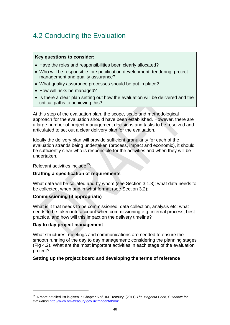# <span id="page-45-0"></span>4.2 Conducting the Evaluation

#### **Key questions to consider:**

- Have the roles and responsibilities been clearly allocated?
- Who will be responsible for specification development, tendering, project management and quality assurance?
- What quality assurance processes should be put in place?
- How will risks be managed?
- Is there a clear plan setting out how the evaluation will be delivered and the critical paths to achieving this?

At this step of the evaluation plan, the scope, scale and methodological approach for the evaluation should have been established. However, there are a large number of project management decisions and tasks to be resolved and articulated to set out a clear delivery plan for the evaluation.

Ideally the delivery plan will provide sufficient granularity for each of the evaluation strands being undertaken (process, impact and economic), it should be sufficiently clear who is responsible for the activities and when they will be undertaken.

Relevant activities include<sup>[25](#page-45-1)</sup>:

#### **Drafting a specification of requirements**

What data will be collated and by whom (see Section 3.1.3); what data needs to be collected, when and in what format (see Section 3.2);

#### **Commissioning (if appropriate)**

What is it that needs to be commissioned, data collection, analysis etc; what needs to be taken into account when commissioning e.g. internal process, best practice, and how will this impact on the delivery timeline?

#### **Day to day project management**

What structures, meetings and communications are needed to ensure the smooth running of the day to day management; considering the planning stages (Fig 4.2). What are the most important activities in each stage of the evaluation project?

#### **Setting up the project board and developing the terms of reference**

<span id="page-45-1"></span><sup>25</sup> A more detailed list is given in Chapter 5 of HM Treasury, (2011) *The Magenta Book, Guidance for evaluation* <http://www.hm-treasury.gov.uk/magentabook>.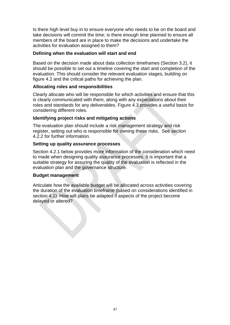Is there high level buy in to ensure everyone who needs to be on the board and take decisions will commit the time; is there enough time planned to ensure all members of the board are in place to make the decisions and undertake the activities for evaluation assigned to them?

#### **Defining when the evaluation will start and end**

Based on the decision made about data collection timeframes (Section 3.2), it should be possible to set out a timeline covering the start and completion of the evaluation. This should consider the relevant evaluation stages, building on figure 4.2 and the critical paths for achieving the plan.

#### **Allocating roles and responsibilities**

Clearly allocate who will be responsible for which activities and ensure that this is clearly communicated with them, along with any expectations about their roles and standards for any deliverables. Figure 4.3 provides a useful basis for considering different roles.

#### **Identifying project risks and mitigating actions**

The evaluation plan should include a risk management strategy and risk register, setting out who is responsible for owning these risks. See section 4.2.2 for further information.

#### **Setting up quality assurance processes**

Section 4.2.1 below provides more information of the consideration which need to made when designing quality assurance processes. It is important that a suitable strategy for assuring the quality of the evaluation is reflected in the evaluation plan and the governance structure.

#### **Budget management**

Articulate how the available budget will be allocated across activities covering the duration of the evaluation timeframe (based on considerations identified in section 4.1). How will plans be adapted if aspects of the project become delayed or altered?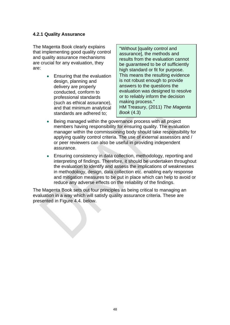#### <span id="page-47-0"></span>**4.2.1 Quality Assurance**

The Magenta Book clearly explains that implementing good quality control and quality assurance mechanisms are crucial for any evaluation, they are:

> • Ensuring that the evaluation design, planning and delivery are properly conducted, conform to professional standards (such as ethical assurance), and that minimum analytical standards are adhered to;

"Without [quality control and assurance], the methods and results from the evaluation cannot be guaranteed to be of sufficiently high standard or fit for purpose. This means the resulting evidence is not robust enough to provide answers to the questions the evaluation was designed to resolve or to reliably inform the decision making process." HM Treasury, (2011) *The Magenta Book* (4.3)

- Being managed within the governance process with all project members having responsibility for ensuring quality. The evaluation manager within the commissioning body should take responsibility for applying quality control criteria. The use of external assessors and / or peer reviewers can also be useful in providing independent assurance.
- Ensuring consistency in data collection, methodology, reporting and interpreting of findings. Therefore, it should be undertaken throughout the evaluation to identify and assess the implications of weaknesses in methodology, design, data collection etc. enabling early response and mitigation measures to be put in place which can help to avoid or reduce any adverse effects on the reliability of the findings.

The Magenta Book sets out four principles as being critical to managing an evaluation in a way which will satisfy quality assurance criteria. These are presented in Figure 4.4. below.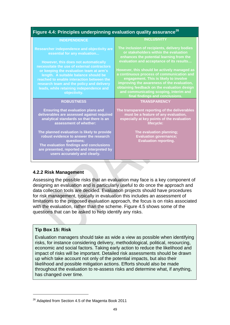| Figure 4.4: Principles underpinning evaluation quality assurance <sup>26</sup>                                                                                                                                                                                                                                                                                                                             |                                                                                                                                                                                                                                                                                                                                                                                                                                                           |  |  |  |
|------------------------------------------------------------------------------------------------------------------------------------------------------------------------------------------------------------------------------------------------------------------------------------------------------------------------------------------------------------------------------------------------------------|-----------------------------------------------------------------------------------------------------------------------------------------------------------------------------------------------------------------------------------------------------------------------------------------------------------------------------------------------------------------------------------------------------------------------------------------------------------|--|--|--|
| <b>INDEPENDENCE</b>                                                                                                                                                                                                                                                                                                                                                                                        | <b>INCLUSIVITY</b>                                                                                                                                                                                                                                                                                                                                                                                                                                        |  |  |  |
| Researcher independence and objectivity are<br>essential for any evaluation<br>However, this does not automatically<br>necessitate the use of external contractors<br>or keeping the evaluation team at arm's<br>length. A suitable balance should be<br>reached to enable interaction between the<br>research team and the policy and delivery<br>leads, while retaining independence and<br>objectivity. | The inclusion of recipients, delivery bodies<br>or stakeholders within the evaluation<br>enhances the potential learning from the<br>evaluation and acceptance of its results<br>However, this should be actively managed as<br>a continuous process of communication and<br>engagement. This is likely to involve<br>improving the awareness of the evaluation,<br>obtaining feedback on the evaluation design<br>and communicating scoping, interim and |  |  |  |
| <b>ROBUSTNESS</b>                                                                                                                                                                                                                                                                                                                                                                                          | final findings and conclusions.<br><b>TRANSPARENCY</b>                                                                                                                                                                                                                                                                                                                                                                                                    |  |  |  |
| <b>Ensuring that evaluation plans and</b><br>deliverables are assessed against required<br>analytical standards so that there is an<br>assessment of whether:<br>The planned evaluation is likely to provide<br>robust evidence to answer the research<br>questions;<br>The evaluation findings and conclusions<br>are presented, reported and interpreted by<br>users accurately and clearly.             | The transparent reporting of the deliverables<br>must be a feature of any evaluation,<br>especially at key points of the evaluation<br>lifecycle:<br>The evaluation planning;<br><b>Evaluation governance;</b><br><b>Evaluation reporting.</b>                                                                                                                                                                                                            |  |  |  |

#### **4.2.2 Risk Management**

Assessing the possible risks that an evaluation may face is a key component of designing an evaluation and is particularly useful to do once the approach and data collection tools are decided. Evaluation projects should have procedures for risk management, typically in evaluation this includes an assessment of limitations to the proposed evaluation approach, the focus is on risks associated with the evaluation, rather than the scheme. Figure 4.5 shows some of the questions that can be asked to help identify any risks.

#### **Tip Box 15: Risk**

Evaluation managers should take as wide a view as possible when identifying risks, for instance considering delivery, methodological, political, resourcing, economic and social factors. Taking early action to reduce the likelihood and impact of risks will be important. Detailed risk assessments should be drawn up which take account not only of the potential impacts, but also their likelihood and possible mitigation actions. Efforts should also be made throughout the evaluation to re-assess risks and determine what, if anything, has changed over time.

<span id="page-48-0"></span> $26$  Adapted from Section 4.5 of the Magenta Book 2011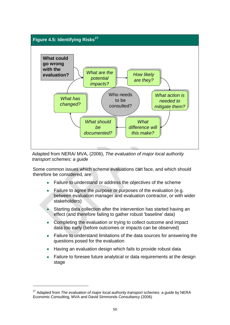

Adapted from NERA/ MVA, (2006), *The evaluation of major local authority transport schemes: a guide* 

Some common issues which scheme evaluations can face, and which should therefore be considered, are:

- Failure to understand or address the *objectives* of the scheme
- Failure to agree the purpose or purposes of the evaluation (e.g. between evaluation manager and evaluation contractor, or with wider stakeholders)
- Starting data collection after the intervention has started having an effect (and therefore failing to gather robust 'baseline' data)
- Completing the evaluation or trying to collect outcome and impact data too early (before outcomes or impacts can be observed)
- Failure to understand limitations of the data sources for answering the questions posed for the evaluation
- Having an evaluation design which fails to provide robust data
- Failure to foresee future analytical or data requirements at the design stage

<span id="page-49-0"></span><sup>27</sup> Adapted from *The evaluation of major local authority transport schemes: a guide* by NERA Economic Consulting, MVA and David Simmonds Consultancy (2006)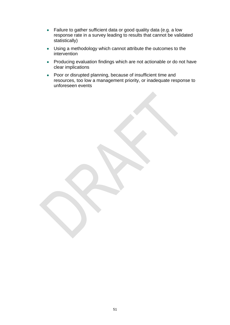- Failure to gather sufficient data or good quality data (e.g. a low response rate in a survey leading to results that cannot be validated statistically)
- Using a methodology which cannot attribute the outcomes to the intervention
- Producing evaluation findings which are not actionable or do not have clear implications
- Poor or disrupted planning, because of insufficient time and resources, too low a management priority, or inadequate response to unforeseen events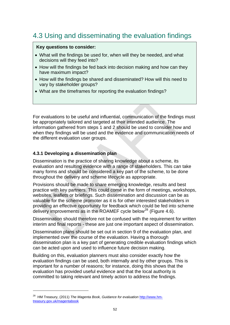# <span id="page-51-0"></span>4.3 Using and disseminating the evaluation findings

#### **Key questions to consider:**

- What will the findings be used for, when will they be needed, and what decisions will they feed into?
- How will the findings be fed back into decision making and how can they have maximum impact?
- How will the findings be shared and disseminated? How will this need to vary by stakeholder groups?
- What are the timeframes for reporting the evaluation findings?

For evaluations to be useful and influential, communication of the findings must be appropriately tailored and targeted at their intended audience. The information gathered from steps 1 and 2 should be used to consider how and when they findings will be used and the evidence and communication needs of the different evaluation user groups.

#### **4.3.1 Developing a dissemination plan**

Dissemination is the practice of sharing knowledge about a scheme, its evaluation and resulting evidence with a range of stakeholders. This can take many forms and should be considered a key part of the scheme, to be done throughout the delivery and scheme lifecycle as appropriate.

Provisions should be made to share emerging knowledge, results and best practice with key partners. This could come in the form of meetings, workshops, websites, leaflets or briefings. Such dissemination and discussion can be as valuable for the scheme promoter as it is for other interested stakeholders in providing an effective opportunity for feedback which could be fed into scheme delivery improvements as in the ROAMEF cycle below<sup>[28](#page-51-1)</sup> (Figure 4.6).

Dissemination should therefore not be confused with the requirement for written interim and final reports - these are just one important aspect of dissemination.

Dissemination plans should be set out in section 9 of the evaluation plan, and implemented over the course of the evaluation. Having a thorough dissemination plan is a key part of generating credible evaluation findings which can be acted upon and used to influence future decision making.

Building on this, evaluation planners must also consider exactly how the evaluation findings can be used, both internally and by other groups. This is important for a number of reasons; for instance, doing this shows that the evaluation has provided useful evidence and that the local authority is committed to taking relevant and timely action to address the findings.

<span id="page-51-1"></span><sup>&</sup>lt;sup>28</sup> HM Treasury, (2011) *The Magenta Book, Guidance for evaluation* [http://www.hm](http://www.hm-treasury.gov.uk/magentabook)[treasury.gov.uk/magentabook](http://www.hm-treasury.gov.uk/magentabook)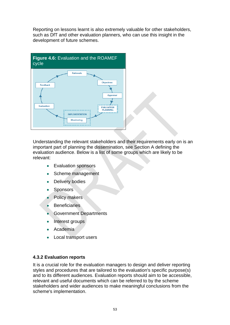Reporting on lessons learnt is also extremely valuable for other stakeholders, such as DfT and other evaluation planners, who can use this insight in the development of future schemes.



Understanding the relevant stakeholders and their requirements early on is an important part of planning the dissemination, see Section A defining the evaluation audience. Below is a list of some groups which are likely to be relevant:

- Evaluation sponsors
- Scheme management
- Delivery bodies
- Sponsors
- Policy makers
- Beneficiaries
- Government Departments
- Interest groups
- Academia
- Local transport users

#### **4.3.2 Evaluation reports**

It is a crucial role for the evaluation managers to design and deliver reporting styles and procedures that are tailored to the evaluation's specific purpose(s) and to its different audiences. Evaluation reports should aim to be accessible, relevant and useful documents which can be referred to by the scheme stakeholders and wider audiences to make meaningful conclusions from the scheme's implementation.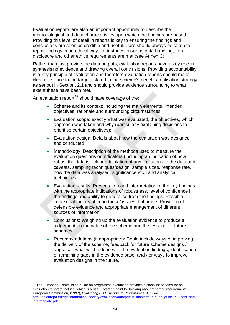Evaluation reports are also an important opportunity to describe the methodological and data characteristics upon which the findings are based. Providing this level of detail in reports is key to ensuring the findings and conclusions are seen as credible and useful. Care should always be taken to report findings in an ethical way, for instance ensuring data handling, nondisclosure and other ethics requirements are met (see Annex C).

Rather than just provide the data outputs, evaluation reports have a key role in synthesising evidence and drawing overall conclusions. Providing accountability is a key principle of evaluation and therefore evaluation reports should make clear reference to the targets stated in the scheme's benefits realisation strategy as set out in Section, 2.1 and should provide evidence surrounding to what extent these have been met.

An evaluation report<sup>[29](#page-53-0)</sup> should have coverage of the:

- Scheme and its context: including the main elements, intended objectives, rationale and surrounding circumstances;
- Evaluation scope: exactly what was evaluated, the objectives, which approach was taken and why (particularly explaining decisions to prioritise certain objectives);
- Evaluation design: Details about how the evaluation was designed and conducted;
- Methodology: Description of the methods used to measure the evaluation questions or indicators (including an indication of how robust the data is - clear articulation of any limitations to the data and caveats, sampling techniques/design, sample sizes, response rate, how the data was analysed, significance etc.) and analytical techniques;
- Evaluation results: Presentation and interpretation of the key findings with the appropriate indications of robustness, level of confidence in the findings and ability to generalise from the findings. Possible contextual factors of importance/ issues that arose. Provision of defensible evidence and appropriate management of different sources of information;
- Conclusions: Weighing up the evaluation evidence to produce a judgement on the value of the scheme and the lessons for future schemes;
- Recommendations (if appropriate): Could include ways of improving the delivery of the scheme, feedback for future scheme designs / appraisal, what will be done with the evaluation findings, identification of remaining gaps in the evidence base, and / or ways to improve evaluation designs in the future.

<span id="page-53-0"></span><sup>&</sup>lt;sup>29</sup> The European Commission guide on programme evaluation provides a checklist of items for an evaluation report to include, which is a useful starting point for thinking about reporting requirements. European Commission, (1997), *Evaluating EU Expenditure Programmes: A Guide*  http://ec.europa.eu/dgs/information\_society/evaluation/data/pdf/lib\_master/eur\_budg\_guide\_ex\_post\_and [intermediate.pdf](http://ec.europa.eu/dgs/information_society/evaluation/data/pdf/lib_master/eur_budg_guide_ex_post_and_intermediate.pdf)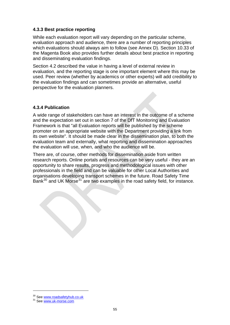#### **4.3.3 Best practice reporting**

While each evaluation report will vary depending on the particular scheme, evaluation approach and audience, there are a number of reporting principles which evaluations should always aim to follow (see Annex D). Section 10.33 of the Magenta Book also provides further details about best practice in reporting and disseminating evaluation findings.

Section 4.2 described the value in having a level of external review in evaluation, and the reporting stage is one important element where this may be used. Peer review (whether by academics or other experts) will add credibility to the evaluation findings and can sometimes provide an alternative, useful perspective for the evaluation planners.

#### **4.3.4 Publication**

A wide range of stakeholders can have an interest in the outcome of a scheme and the expectation set out in section 7 of the DfT Monitoring and Evaluation Framework is that "all Evaluation reports will be published by the scheme promoter on an appropriate website with the Department providing a link from its own website". It should be made clear in the dissemination plan, to both the evaluation team and externally, what reporting and dissemination approaches the evaluation will use, when, and who the audience will be.

There are, of course, other methods for dissemination aside from written research reports. Online portals and resources can be very useful - they are an opportunity to share results, progress and methodological issues with other professionals in the field and can be valuable for other Local Authorities and organisations developing transport schemes in the future. Road Safety Time Bank<sup>[30](#page-54-0)</sup> and UK Morse<sup>[31](#page-54-1)</sup> are two examples in the road safety field, for instance.

<span id="page-54-0"></span><sup>&</sup>lt;sup>30</sup> See www.roadsafetyhub.co.uk<br><sup>31</sup> See www<u>.uk-morse.com</u>

<span id="page-54-1"></span>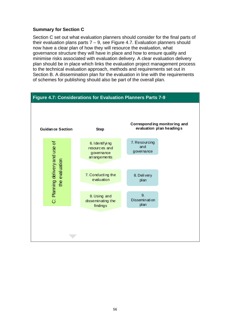#### **Summary for Section C**

Section C set out what evaluation planners should consider for the final parts of their evaluation plans parts  $7 - 9$ , see Figure 4.7. Evaluation planners should now have a clear plan of how they will resource the evaluation, what governance structure they will have in place and how to ensure quality and minimise risks associated with evaluation delivery. A clear evaluation delivery plan should be in place which links the evaluation project management process to the technical evaluation approach, methods and requirements set out in Section B. A dissemination plan for the evaluation in line with the requirements of schemes for publishing should also be part of the overall plan.

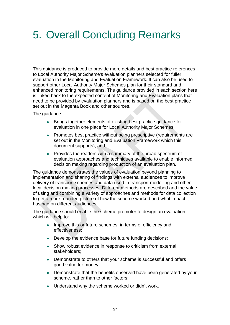# <span id="page-56-0"></span>5. Overall Concluding Remarks

This guidance is produced to provide more details and best practice references to Local Authority Major Scheme's evaluation planners selected for fuller evaluation in the Monitoring and Evaluation Framework. It can also be used to support other Local Authority Major Schemes plan for their standard and enhanced monitoring requirements. The guidance provided in each section here is linked back to the expected content of Monitoring and Evaluation plans that need to be provided by evaluation planners and is based on the best practice set out in the Magenta Book and other sources.

The guidance:

- Brings together elements of existing best practice guidance for evaluation in one place for Local Authority Major Schemes;
- Promotes best practice without being prescriptive (requirements are set out in the Monitoring and Evaluation Framework which this document supports); and,
- Provides the readers with a summary of the broad spectrum of evaluation approaches and techniques available to enable informed decision making regarding production of an evaluation plan.

The guidance demonstrates the values of evaluation beyond planning to implementation and sharing of findings with external audiences to improve delivery of transport schemes and data used in transport modelling and other local decision making processes. Different methods are described and the value of using and combining a variety of approaches and methods for data collection to get a more rounded picture of how the scheme worked and what impact it has had on different audiences.

The guidance should enable the scheme promoter to design an evaluation which will help to:

- Improve this or future schemes, in terms of efficiency and effectiveness;
- Develop the evidence base for future funding decisions;
- Show robust evidence in response to criticism from external stakeholders;
- Demonstrate to others that your scheme is successful and offers good value for money;
- Demonstrate that the benefits observed have been generated by your scheme, rather than to other factors;
- Understand why the scheme worked or didn't work.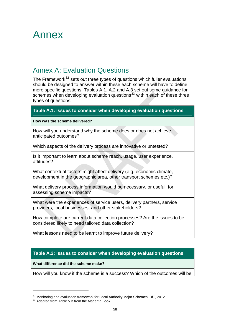# <span id="page-57-0"></span>Annex

## Annex A: Evaluation Questions

<span id="page-57-1"></span>The Framework<sup>[32](#page-57-2)</sup> sets out three types of questions which fuller evaluations should be designed to answer within these each scheme will have to define more specific questions. Tables A.1. A.2 and A.3 set out some guidance for schemes when developing evaluation questions $33$  within each of these three types of questions.

#### **Table A.1: Issues to consider when developing evaluation questions**

**How was the scheme delivered?** 

How will you understand why the scheme does or does not achieve anticipated outcomes?

Which aspects of the delivery process are innovative or untested?

Is it important to learn about scheme reach, usage, user experience, attitudes?

What contextual factors might affect delivery (e.g. economic climate, development in the geographic area, other transport schemes etc.)?

What delivery process information would be necessary, or useful, for assessing scheme impacts?

What were the experiences of service users, delivery partners, service providers, local businesses, and other stakeholders?

How complete are current data collection processes? Are the issues to be considered likely to need tailored data collection?

What lessons need to be learnt to improve future delivery?

#### **Table A.2: Issues to consider when developing evaluation questions**

**What difference did the scheme make?** 

How will you know if the scheme is a success? Which of the outcomes will be

<span id="page-57-3"></span><span id="page-57-2"></span> $32$  Monitoring and evaluation framework for Local Authority Major Schemes, DfT, 2012  $33$  Adapted from Table 5.B from the Magenta Book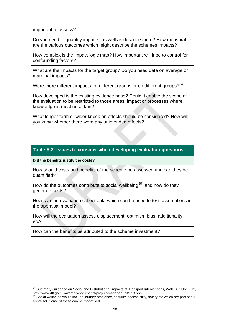important to assess?

Do you need to quantify impacts, as well as describe them? How measurable are the various outcomes which might describe the schemes impacts?

How complex is the impact logic map? How important will it be to control for confounding factors?

What are the impacts for the target group? Do you need data on average or marginal impacts?

Were there different impacts for different groups or on different groups? $34$ 

How developed is the existing evidence base? Could it enable the scope of the evaluation to be restricted to those areas, impact or processes where knowledge is most uncertain?

What longer-term or wider knock-on effects should be considered? How will you know whether there were any unintended effects?

#### **Table A.3: Issues to consider when developing evaluation questions**

**Did the benefits justify the costs?** 

How should costs and benefits of the scheme be assessed and can they be quantified?

How do the outcomes contribute to social wellbeing<sup>[35](#page-58-1)</sup>, and how do they generate costs?

How can the evaluation collect data which can be used to test assumptions in the appraisal model?

How will the evaluation assess displacement, optimism bias, additionality etc?

How can the benefits be attributed to the scheme investment?

<span id="page-58-0"></span><sup>&</sup>lt;sup>34</sup> Summary Guidance on Social and Distributional Impacts of Transport Interventions, WebTAG Unit 2.13, http://www.dft.gov.uk/webtag/documents/project-manager/unit2.13.php

<span id="page-58-1"></span> $35$  Social wellbeing would include journey ambience, security, accessibility, safety etc which are part of full appraisal. Some of these can be monetised.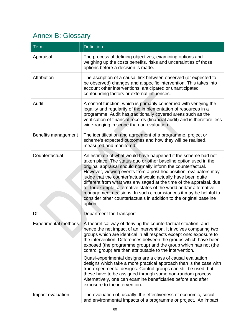# Annex B: Glossary

<span id="page-59-0"></span>

| <b>Term</b>                 | <b>Definition</b>                                                                                                                                                                                                                                                                                                                                                                                                                                                                                                                                                                                                                          |
|-----------------------------|--------------------------------------------------------------------------------------------------------------------------------------------------------------------------------------------------------------------------------------------------------------------------------------------------------------------------------------------------------------------------------------------------------------------------------------------------------------------------------------------------------------------------------------------------------------------------------------------------------------------------------------------|
| Appraisal                   | The process of defining objectives, examining options and<br>weighing up the costs benefits, risks and uncertainties of those<br>options before a decision is made.                                                                                                                                                                                                                                                                                                                                                                                                                                                                        |
| Attribution                 | The ascription of a causal link between observed (or expected to<br>be observed) changes and a specific intervention. This takes into<br>account other interventions, anticipated or unanticipated<br>confounding factors or external influences.                                                                                                                                                                                                                                                                                                                                                                                          |
| Audit                       | A control function, which is primarily concerned with verifying the<br>legality and regularity of the implementation of resources in a<br>programme. Audit has traditionally covered areas such as the<br>verification of financial records (financial audit) and is therefore less<br>wide-ranging in scope than an evaluation.                                                                                                                                                                                                                                                                                                           |
| Benefits management         | The identification and agreement of a programme, project or<br>scheme's expected outcomes and how they will be realised,<br>measured and monitored.                                                                                                                                                                                                                                                                                                                                                                                                                                                                                        |
| Counterfactual              | An estimate of what would have happened if the scheme had not<br>taken place. The status quo or other baseline option used in the<br>original appraisal should normally inform the counterfactual.<br>However, viewing events from a post hoc position, evaluators may<br>judge that the counterfactual would actually have been quite<br>different from what was envisaged at the time of the appraisal, due<br>to, for example, alternative states of the world and/or alternative<br>management decisions. In such circumstances it may be helpful to<br>consider other counterfactuals in addition to the original baseline<br>option. |
| <b>DfT</b>                  | <b>Department for Transport</b>                                                                                                                                                                                                                                                                                                                                                                                                                                                                                                                                                                                                            |
| <b>Experimental methods</b> | A theoretical way of deriving the counterfactual situation, and<br>hence the net impact of an intervention. It involves comparing two<br>groups which are identical in all respects except one: exposure to<br>the intervention. Differences between the groups which have been<br>exposed (the programme group) and the group which has not (the<br>control group) are then attributable to the intervention.                                                                                                                                                                                                                             |
|                             | Quasi-experimental designs are a class of causal evaluation<br>designs which take a more practical approach than is the case with<br>true experimental designs. Control groups can still be used, but<br>these have to be assigned through some non-random process.<br>Alternatively, one can examine beneficiaries before and after<br>exposure to the intervention.                                                                                                                                                                                                                                                                      |
| Impact evaluation           | The evaluation of, usually, the effectiveness of economic, social<br>and environmental impacts of a programme or project. An impact                                                                                                                                                                                                                                                                                                                                                                                                                                                                                                        |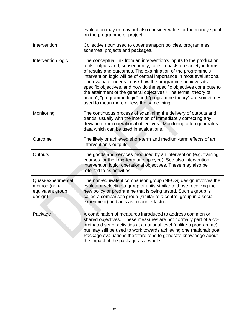|                                                                   | evaluation may or may not also consider value for the money spent<br>on the programme or project.                                                                                                                                                                                                                                                                                                                                                                                                                                                                                                           |
|-------------------------------------------------------------------|-------------------------------------------------------------------------------------------------------------------------------------------------------------------------------------------------------------------------------------------------------------------------------------------------------------------------------------------------------------------------------------------------------------------------------------------------------------------------------------------------------------------------------------------------------------------------------------------------------------|
| Intervention                                                      | Collective noun used to cover transport policies, programmes,<br>schemes, projects and packages.                                                                                                                                                                                                                                                                                                                                                                                                                                                                                                            |
| Intervention logic                                                | The conceptual link from an intervention's inputs to the production<br>of its outputs and, subsequently, to its impacts on society in terms<br>of results and outcomes. The examination of the programme's<br>intervention logic will be of central importance in most evaluations.<br>The evaluator needs to ask how the programme achieves its<br>specific objectives, and how do the specific objectives contribute to<br>the attainment of the general objectives? The terms "theory of<br>action", "programme logic" and "programme theory" are sometimes<br>used to mean more or less the same thing. |
| Monitoring                                                        | The continuous process of examining the delivery of outputs and<br>trends, usually with the intention of immediately correcting any<br>deviation from operational objectives. Monitoring often generates<br>data which can be used in evaluations.                                                                                                                                                                                                                                                                                                                                                          |
| Outcome                                                           | The likely or achieved short-term and medium-term effects of an<br>intervention's outputs.                                                                                                                                                                                                                                                                                                                                                                                                                                                                                                                  |
| Outputs                                                           | The goods and services produced by an intervention (e.g. training<br>courses for the long-term unemployed). See also intervention,<br>intervention logic, operational objectives. These may also be<br>referred to as activities.                                                                                                                                                                                                                                                                                                                                                                           |
| Quasi-experimental<br>method (non-<br>equivalent group<br>design) | The non-equivalent comparison group (NECG) design involves the<br>evaluator selecting a group of units similar to those receiving the<br>new policy or programme that is being tested. Such a group is<br>called a comparison group (similar to a control group in a social<br>experiment) and acts as a counterfactual.                                                                                                                                                                                                                                                                                    |
| Package                                                           | A combination of measures introduced to address common or<br>shared objectives. These measures are not normally part of a co-<br>ordinated set of activities at a national level (unlike a programme),<br>but may still be used to work towards achieving one (national) goal.<br>Package evaluations therefore tend to generate knowledge about<br>the impact of the package as a whole.                                                                                                                                                                                                                   |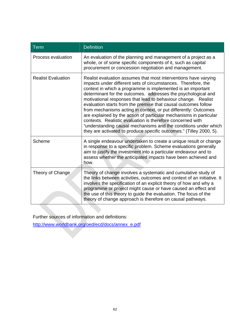| Term                      | <b>Definition</b>                                                                                                                                                                                                                                                                                                                                                                                                                                                                                                                                                                                                                                                                                                                                    |
|---------------------------|------------------------------------------------------------------------------------------------------------------------------------------------------------------------------------------------------------------------------------------------------------------------------------------------------------------------------------------------------------------------------------------------------------------------------------------------------------------------------------------------------------------------------------------------------------------------------------------------------------------------------------------------------------------------------------------------------------------------------------------------------|
| Process evaluation        | An evaluation of the planning and management of a project as a<br>whole, or of some specific components of it, such as capital<br>procurement or concession negotiation and management.                                                                                                                                                                                                                                                                                                                                                                                                                                                                                                                                                              |
| <b>Realist Evaluation</b> | Realist evaluation assumes that most interventions have varying<br>impacts under different sets of circumstances. Therefore, the<br>context in which a programme is implemented is an important<br>determinant for the outcomes. addresses the psychological and<br>motivational responses that lead to behaviour change. Realist<br>evaluation starts from the premise that causal outcomes follow<br>from mechanisms acting in context, or put differently: Outcomes<br>are explained by the action of particular mechanisms in particular<br>contexts. Realistic evaluation is therefore concerned with<br>"understanding causal mechanisms and the conditions under which<br>they are activated to produce specific outcomes." (Tilley 2000, 5). |
| Scheme                    | A single endeavour undertaken to create a unique result or change<br>in response to a specific problem. Scheme evaluations generally<br>aim to justify the investment into a particular endeavour and to<br>assess whether the anticipated impacts have been achieved and<br>how.                                                                                                                                                                                                                                                                                                                                                                                                                                                                    |
| Theory of Change          | Theory of change involves a systematic and cumulative study of<br>the links between activities, outcomes and context of an initiative. It<br>involves the specification of an explicit theory of how and why a<br>programme or project might cause or have caused an effect and<br>the use of this theory to guide the evaluation. The focus of the<br>theory of change approach is therefore on causal pathways.                                                                                                                                                                                                                                                                                                                                    |

Further sources of information and definitions:

[http://www.worldbank.org/oed/ecd/docs/annex\\_e.pdf](http://www.worldbank.org/oed/ecd/docs/annex_e.pdf)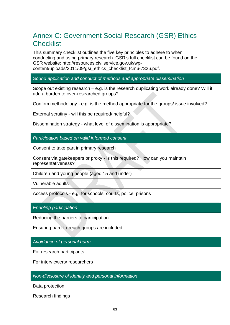## <span id="page-62-0"></span>Annex C: Government Social Research (GSR) Ethics **Checklist**

This summary checklist outlines the five key principles to adhere to when conducting and using primary research. GSR's full checklist can be found on the GSR website: http://resources.civilservice.gov.uk/wpcontent/uploads/2011/09/gsr\_ethics\_checklist\_tcm6-7326.pdf.

#### *Sound application and conduct of methods and appropriate dissemination*

Scope out existing research – e.g. is the research duplicating work already done? Will it add a burden to over-researched groups?

Confirm methodology - e.g. is the method appropriate for the groups/ issue involved?

External scrutiny - will this be required/ helpful?

Dissemination strategy - what level of dissemination is appropriate?

*Participation based on valid informed consent* 

Consent to take part in primary research

Consent via gatekeepers or proxy - is this required? How can you maintain representativeness?

Children and young people (aged 15 and under)

Vulnerable adults

Access protocols - e.g. for schools, courts, police, prisons

*Enabling participation* 

Reducing the barriers to participation

Ensuring hard-to-reach groups are included

*Avoidance of personal harm* 

For research participants

For interviewers/ researchers

*Non-disclosure of identity and personal information* 

Data protection

Research findings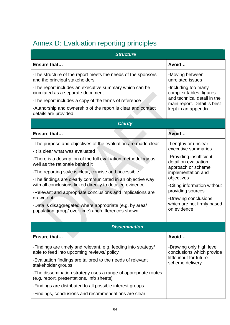# Annex D: Evaluation reporting principles

<span id="page-63-0"></span>

| <b>Structure</b>                                                                                                     |                                                                       |  |  |  |
|----------------------------------------------------------------------------------------------------------------------|-----------------------------------------------------------------------|--|--|--|
| Ensure that                                                                                                          | Avoid                                                                 |  |  |  |
| -The structure of the report meets the needs of the sponsors<br>and the principal stakeholders                       | -Moving between<br>unrelated issues                                   |  |  |  |
| -The report includes an executive summary which can be<br>circulated as a separate document                          | -Including too many<br>complex tables, figures                        |  |  |  |
| -The report includes a copy of the terms of reference                                                                | and technical detail in the<br>main report. Detail is best            |  |  |  |
| -Authorship and ownership of the report is clear and contact<br>details are provided                                 | kept in an appendix                                                   |  |  |  |
| <b>Clarity</b>                                                                                                       |                                                                       |  |  |  |
| Ensure that                                                                                                          | Avoid                                                                 |  |  |  |
| -The purpose and objectives of the evaluation are made clear<br>-It is clear what was evaluated                      | -Lengthy or unclear<br>executive summaries                            |  |  |  |
| -There is a description of the full evaluation methodology as<br>well as the rationale behind it                     | -Providing insufficient<br>detail on evaluation<br>approach or scheme |  |  |  |
| -The reporting style is clear, concise and accessible<br>-The findings are clearly communicated in an objective way, | implementation and<br>objectives                                      |  |  |  |
| with all conclusions linked directly to detailed evidence                                                            | -Citing information without                                           |  |  |  |
| -Relevant and appropriate conclusions and implications are<br>drawn out                                              | providing sources<br>-Drawing conclusions                             |  |  |  |
| -Data is disaggregated where appropriate (e.g. by area/<br>population group/ over time) and differences shown        | which are not firmly based<br>on evidence                             |  |  |  |
|                                                                                                                      |                                                                       |  |  |  |
| <b>Dissemination</b>                                                                                                 |                                                                       |  |  |  |
| Ensure that                                                                                                          | Avoid                                                                 |  |  |  |
| -Findings are timely and relevant, e.g. feeding into strategy/<br>able to feed into upcoming reviews/ policy         | -Drawing only high level<br>conclusions which provide                 |  |  |  |
| -Evaluation findings are tailored to the needs of relevant<br>stakeholder groups                                     | little input for future<br>scheme delivery                            |  |  |  |
| -The dissemination strategy uses a range of appropriate routes<br>(e.g. report, presentations, info sheets)          |                                                                       |  |  |  |
| -Findings are distributed to all possible interest groups                                                            |                                                                       |  |  |  |
| -Findings, conclusions and recommendations are clear                                                                 |                                                                       |  |  |  |